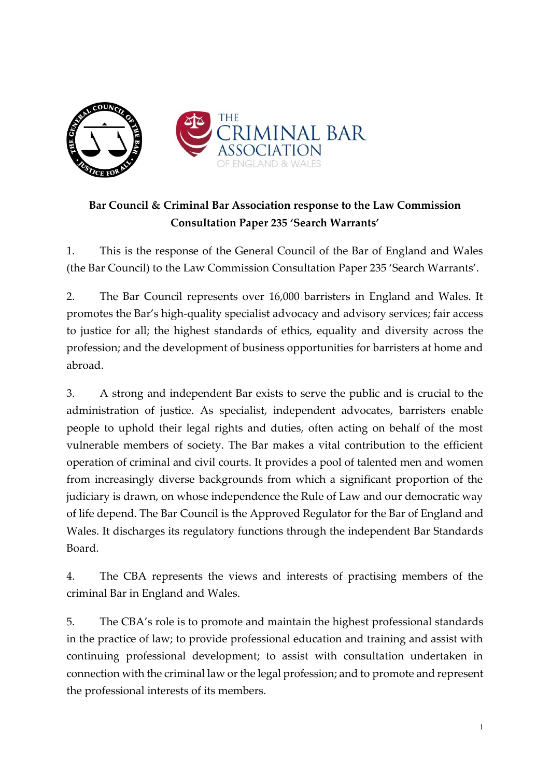

# **Bar Council & Criminal Bar Association response to the Law Commission Consultation Paper 235 'Search Warrants'**

1. This is the response of the General Council of the Bar of England and Wales (the Bar Council) to the Law Commission Consultation Paper 235 'Search Warrants'.

2. The Bar Council represents over 16,000 barristers in England and Wales. It promotes the Bar's high-quality specialist advocacy and advisory services; fair access to justice for all; the highest standards of ethics, equality and diversity across the profession; and the development of business opportunities for barristers at home and abroad.

3. A strong and independent Bar exists to serve the public and is crucial to the administration of justice. As specialist, independent advocates, barristers enable people to uphold their legal rights and duties, often acting on behalf of the most vulnerable members of society. The Bar makes a vital contribution to the efficient operation of criminal and civil courts. It provides a pool of talented men and women from increasingly diverse backgrounds from which a significant proportion of the judiciary is drawn, on whose independence the Rule of Law and our democratic way of life depend. The Bar Council is the Approved Regulator for the Bar of England and Wales. It discharges its regulatory functions through the independent Bar Standards Board.

4. The CBA represents the views and interests of practising members of the criminal Bar in England and Wales.

5. The CBA's role is to promote and maintain the highest professional standards in the practice of law; to provide professional education and training and assist with continuing professional development; to assist with consultation undertaken in connection with the criminal law or the legal profession; and to promote and represent the professional interests of its members.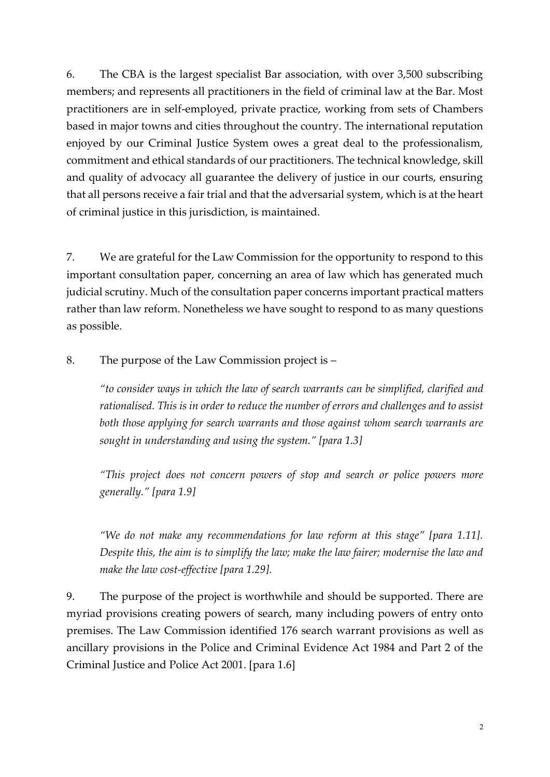6. The CBA is the largest specialist Bar association, with over 3,500 subscribing members; and represents all practitioners in the field of criminal law at the Bar. Most practitioners are in self-employed, private practice, working from sets of Chambers based in major towns and cities throughout the country. The international reputation enjoyed by our Criminal Justice System owes a great deal to the professionalism, commitment and ethical standards of our practitioners. The technical knowledge, skill and quality of advocacy all guarantee the delivery of justice in our courts, ensuring that all persons receive a fair trial and that the adversarial system, which is at the heart of criminal justice in this jurisdiction, is maintained.

7. We are grateful for the Law Commission for the opportunity to respond to this important consultation paper, concerning an area of law which has generated much judicial scrutiny. Much of the consultation paper concerns important practical matters rather than law reform. Nonetheless we have sought to respond to as many questions as possible.

8. The purpose of the Law Commission project is –

*"to consider ways in which the law of search warrants can be simplified, clarified and rationalised. This is in order to reduce the number of errors and challenges and to assist both those applying for search warrants and those against whom search warrants are sought in understanding and using the system." [para 1.3]*

*"This project does not concern powers of stop and search or police powers more generally." [para 1.9]*

*"We do not make any recommendations for law reform at this stage" [para 1.11]. Despite this, the aim is to simplify the law; make the law fairer; modernise the law and make the law cost-effective [para 1.29].* 

9. The purpose of the project is worthwhile and should be supported. There are myriad provisions creating powers of search, many including powers of entry onto premises. The Law Commission identified 176 search warrant provisions as well as ancillary provisions in the Police and Criminal Evidence Act 1984 and Part 2 of the Criminal Justice and Police Act 2001. [para 1.6]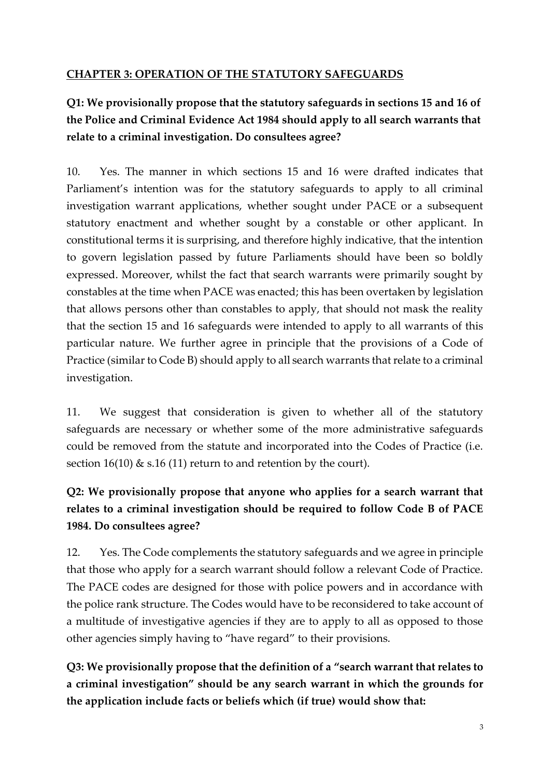### **CHAPTER 3: OPERATION OF THE STATUTORY SAFEGUARDS**

# **Q1: We provisionally propose that the statutory safeguards in sections 15 and 16 of the Police and Criminal Evidence Act 1984 should apply to all search warrants that relate to a criminal investigation. Do consultees agree?**

10. Yes. The manner in which sections 15 and 16 were drafted indicates that Parliament's intention was for the statutory safeguards to apply to all criminal investigation warrant applications, whether sought under PACE or a subsequent statutory enactment and whether sought by a constable or other applicant. In constitutional terms it is surprising, and therefore highly indicative, that the intention to govern legislation passed by future Parliaments should have been so boldly expressed. Moreover, whilst the fact that search warrants were primarily sought by constables at the time when PACE was enacted; this has been overtaken by legislation that allows persons other than constables to apply, that should not mask the reality that the section 15 and 16 safeguards were intended to apply to all warrants of this particular nature. We further agree in principle that the provisions of a Code of Practice (similar to Code B) should apply to all search warrants that relate to a criminal investigation.

11. We suggest that consideration is given to whether all of the statutory safeguards are necessary or whether some of the more administrative safeguards could be removed from the statute and incorporated into the Codes of Practice (i.e. section 16(10)  $\&$  s.16 (11) return to and retention by the court).

# **Q2: We provisionally propose that anyone who applies for a search warrant that relates to a criminal investigation should be required to follow Code B of PACE 1984. Do consultees agree?**

12. Yes. The Code complements the statutory safeguards and we agree in principle that those who apply for a search warrant should follow a relevant Code of Practice. The PACE codes are designed for those with police powers and in accordance with the police rank structure. The Codes would have to be reconsidered to take account of a multitude of investigative agencies if they are to apply to all as opposed to those other agencies simply having to "have regard" to their provisions.

**Q3: We provisionally propose that the definition of a "search warrant that relates to a criminal investigation" should be any search warrant in which the grounds for the application include facts or beliefs which (if true) would show that:**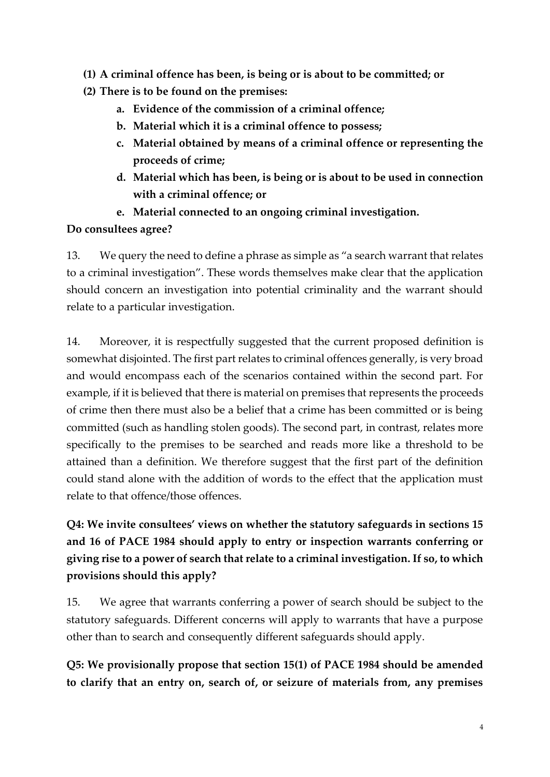- **(1) A criminal offence has been, is being or is about to be committed; or**
- **(2) There is to be found on the premises:**
	- **a. Evidence of the commission of a criminal offence;**
	- **b. Material which it is a criminal offence to possess;**
	- **c. Material obtained by means of a criminal offence or representing the proceeds of crime;**
	- **d. Material which has been, is being or is about to be used in connection with a criminal offence; or**
	- **e. Material connected to an ongoing criminal investigation.**

## **Do consultees agree?**

13. We query the need to define a phrase as simple as "a search warrant that relates to a criminal investigation". These words themselves make clear that the application should concern an investigation into potential criminality and the warrant should relate to a particular investigation.

14. Moreover, it is respectfully suggested that the current proposed definition is somewhat disjointed. The first part relates to criminal offences generally, is very broad and would encompass each of the scenarios contained within the second part. For example, if it is believed that there is material on premises that represents the proceeds of crime then there must also be a belief that a crime has been committed or is being committed (such as handling stolen goods). The second part, in contrast, relates more specifically to the premises to be searched and reads more like a threshold to be attained than a definition. We therefore suggest that the first part of the definition could stand alone with the addition of words to the effect that the application must relate to that offence/those offences.

# **Q4: We invite consultees' views on whether the statutory safeguards in sections 15 and 16 of PACE 1984 should apply to entry or inspection warrants conferring or giving rise to a power of search that relate to a criminal investigation. If so, to which provisions should this apply?**

15. We agree that warrants conferring a power of search should be subject to the statutory safeguards. Different concerns will apply to warrants that have a purpose other than to search and consequently different safeguards should apply.

**Q5: We provisionally propose that section 15(1) of PACE 1984 should be amended to clarify that an entry on, search of, or seizure of materials from, any premises**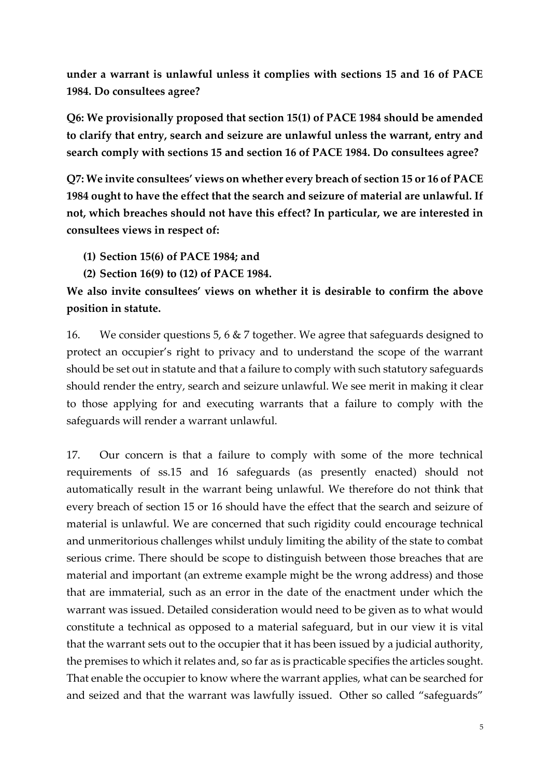**under a warrant is unlawful unless it complies with sections 15 and 16 of PACE 1984. Do consultees agree?**

**Q6: We provisionally proposed that section 15(1) of PACE 1984 should be amended to clarify that entry, search and seizure are unlawful unless the warrant, entry and search comply with sections 15 and section 16 of PACE 1984. Do consultees agree?**

**Q7: We invite consultees' views on whether every breach of section 15 or 16 of PACE 1984 ought to have the effect that the search and seizure of material are unlawful. If not, which breaches should not have this effect? In particular, we are interested in consultees views in respect of:**

- **(1) Section 15(6) of PACE 1984; and**
- **(2) Section 16(9) to (12) of PACE 1984.**

## **We also invite consultees' views on whether it is desirable to confirm the above position in statute.**

16. We consider questions 5, 6 & 7 together. We agree that safeguards designed to protect an occupier's right to privacy and to understand the scope of the warrant should be set out in statute and that a failure to comply with such statutory safeguards should render the entry, search and seizure unlawful. We see merit in making it clear to those applying for and executing warrants that a failure to comply with the safeguards will render a warrant unlawful.

17. Our concern is that a failure to comply with some of the more technical requirements of ss.15 and 16 safeguards (as presently enacted) should not automatically result in the warrant being unlawful. We therefore do not think that every breach of section 15 or 16 should have the effect that the search and seizure of material is unlawful. We are concerned that such rigidity could encourage technical and unmeritorious challenges whilst unduly limiting the ability of the state to combat serious crime. There should be scope to distinguish between those breaches that are material and important (an extreme example might be the wrong address) and those that are immaterial, such as an error in the date of the enactment under which the warrant was issued. Detailed consideration would need to be given as to what would constitute a technical as opposed to a material safeguard, but in our view it is vital that the warrant sets out to the occupier that it has been issued by a judicial authority, the premises to which it relates and, so far as is practicable specifies the articles sought. That enable the occupier to know where the warrant applies, what can be searched for and seized and that the warrant was lawfully issued. Other so called "safeguards"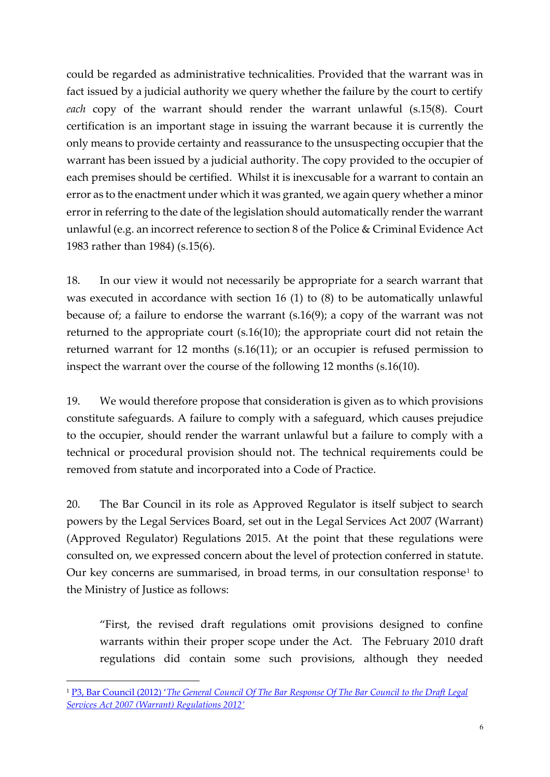could be regarded as administrative technicalities. Provided that the warrant was in fact issued by a judicial authority we query whether the failure by the court to certify *each* copy of the warrant should render the warrant unlawful (s.15(8). Court certification is an important stage in issuing the warrant because it is currently the only means to provide certainty and reassurance to the unsuspecting occupier that the warrant has been issued by a judicial authority. The copy provided to the occupier of each premises should be certified. Whilst it is inexcusable for a warrant to contain an error as to the enactment under which it was granted, we again query whether a minor error in referring to the date of the legislation should automatically render the warrant unlawful (e.g. an incorrect reference to section 8 of the Police & Criminal Evidence Act 1983 rather than 1984) (s.15(6).

18. In our view it would not necessarily be appropriate for a search warrant that was executed in accordance with section 16 (1) to (8) to be automatically unlawful because of; a failure to endorse the warrant (s.16(9); a copy of the warrant was not returned to the appropriate court (s.16(10); the appropriate court did not retain the returned warrant for 12 months (s.16(11); or an occupier is refused permission to inspect the warrant over the course of the following 12 months (s.16(10).

19. We would therefore propose that consideration is given as to which provisions constitute safeguards. A failure to comply with a safeguard, which causes prejudice to the occupier, should render the warrant unlawful but a failure to comply with a technical or procedural provision should not. The technical requirements could be removed from statute and incorporated into a Code of Practice.

20. The Bar Council in its role as Approved Regulator is itself subject to search powers by the Legal Services Board, set out in the Legal Services Act 2007 (Warrant) (Approved Regulator) Regulations 2015. At the point that these regulations were consulted on, we expressed concern about the level of protection conferred in statute. Our key concerns are summarised, in broad terms, in our consultation response<sup>1</sup> to the Ministry of Justice as follows:

"First, the revised draft regulations omit provisions designed to confine warrants within their proper scope under the Act. The February 2010 draft regulations did contain some such provisions, although they needed

**.** 

<sup>1</sup> P3, Bar Council (2012) '*[The General Council Of The Bar Response Of The Bar Council to the Draft Legal](https://www.barcouncil.org.uk/media/161819/bar_council_response_to_lsa_warranrt_regulations_consultation_august_2012_final.pdf)  [Services Act 2007 \(Warrant\) Regulations 2012'](https://www.barcouncil.org.uk/media/161819/bar_council_response_to_lsa_warranrt_regulations_consultation_august_2012_final.pdf)*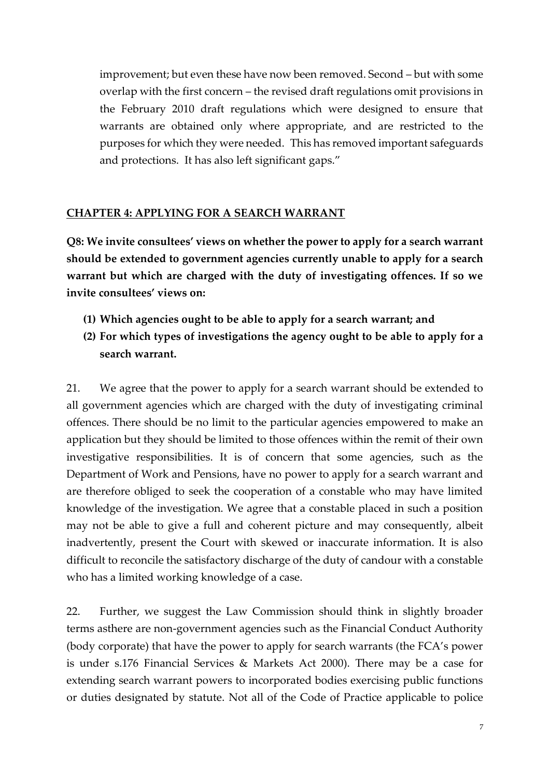improvement; but even these have now been removed. Second – but with some overlap with the first concern – the revised draft regulations omit provisions in the February 2010 draft regulations which were designed to ensure that warrants are obtained only where appropriate, and are restricted to the purposes for which they were needed. This has removed important safeguards and protections. It has also left significant gaps."

#### **CHAPTER 4: APPLYING FOR A SEARCH WARRANT**

**Q8: We invite consultees' views on whether the power to apply for a search warrant should be extended to government agencies currently unable to apply for a search warrant but which are charged with the duty of investigating offences. If so we invite consultees' views on:**

- **(1) Which agencies ought to be able to apply for a search warrant; and**
- **(2) For which types of investigations the agency ought to be able to apply for a search warrant.**

21. We agree that the power to apply for a search warrant should be extended to all government agencies which are charged with the duty of investigating criminal offences. There should be no limit to the particular agencies empowered to make an application but they should be limited to those offences within the remit of their own investigative responsibilities. It is of concern that some agencies, such as the Department of Work and Pensions, have no power to apply for a search warrant and are therefore obliged to seek the cooperation of a constable who may have limited knowledge of the investigation. We agree that a constable placed in such a position may not be able to give a full and coherent picture and may consequently, albeit inadvertently, present the Court with skewed or inaccurate information. It is also difficult to reconcile the satisfactory discharge of the duty of candour with a constable who has a limited working knowledge of a case.

22. Further, we suggest the Law Commission should think in slightly broader terms asthere are non-government agencies such as the Financial Conduct Authority (body corporate) that have the power to apply for search warrants (the FCA's power is under s.176 Financial Services & Markets Act 2000). There may be a case for extending search warrant powers to incorporated bodies exercising public functions or duties designated by statute. Not all of the Code of Practice applicable to police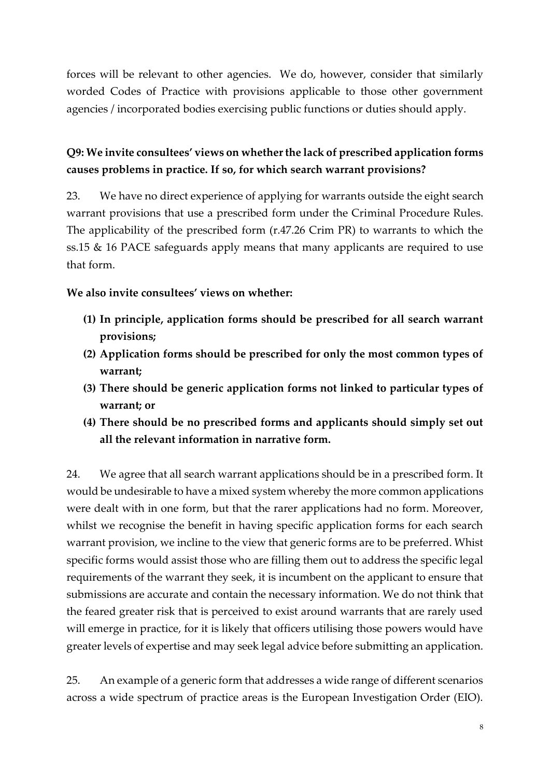forces will be relevant to other agencies. We do, however, consider that similarly worded Codes of Practice with provisions applicable to those other government agencies / incorporated bodies exercising public functions or duties should apply.

## **Q9: We invite consultees' views on whether the lack of prescribed application forms causes problems in practice. If so, for which search warrant provisions?**

23. We have no direct experience of applying for warrants outside the eight search warrant provisions that use a prescribed form under the Criminal Procedure Rules. The applicability of the prescribed form (r.47.26 Crim PR) to warrants to which the ss.15 & 16 PACE safeguards apply means that many applicants are required to use that form.

### **We also invite consultees' views on whether:**

- **(1) In principle, application forms should be prescribed for all search warrant provisions;**
- **(2) Application forms should be prescribed for only the most common types of warrant;**
- **(3) There should be generic application forms not linked to particular types of warrant; or**
- **(4) There should be no prescribed forms and applicants should simply set out all the relevant information in narrative form.**

24. We agree that all search warrant applications should be in a prescribed form. It would be undesirable to have a mixed system whereby the more common applications were dealt with in one form, but that the rarer applications had no form. Moreover, whilst we recognise the benefit in having specific application forms for each search warrant provision, we incline to the view that generic forms are to be preferred. Whist specific forms would assist those who are filling them out to address the specific legal requirements of the warrant they seek, it is incumbent on the applicant to ensure that submissions are accurate and contain the necessary information. We do not think that the feared greater risk that is perceived to exist around warrants that are rarely used will emerge in practice, for it is likely that officers utilising those powers would have greater levels of expertise and may seek legal advice before submitting an application.

25. An example of a generic form that addresses a wide range of different scenarios across a wide spectrum of practice areas is the European Investigation Order (EIO).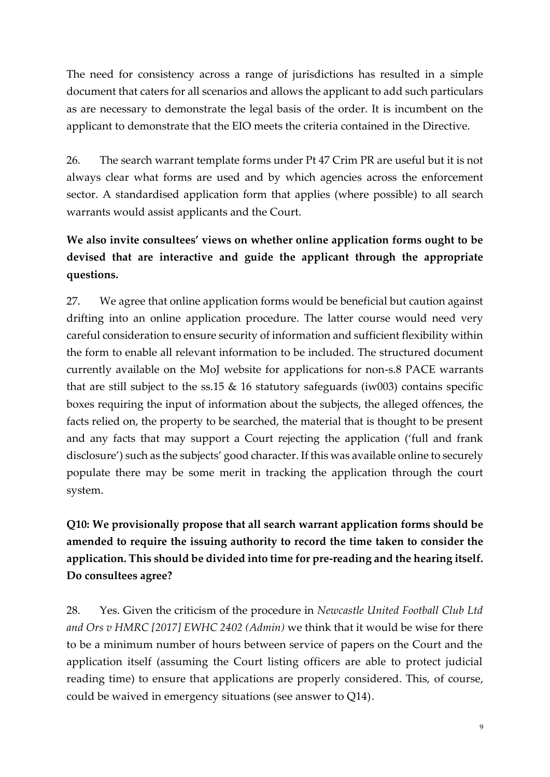The need for consistency across a range of jurisdictions has resulted in a simple document that caters for all scenarios and allows the applicant to add such particulars as are necessary to demonstrate the legal basis of the order. It is incumbent on the applicant to demonstrate that the EIO meets the criteria contained in the Directive.

26. The search warrant template forms under Pt 47 Crim PR are useful but it is not always clear what forms are used and by which agencies across the enforcement sector. A standardised application form that applies (where possible) to all search warrants would assist applicants and the Court.

# **We also invite consultees' views on whether online application forms ought to be devised that are interactive and guide the applicant through the appropriate questions.**

27. We agree that online application forms would be beneficial but caution against drifting into an online application procedure. The latter course would need very careful consideration to ensure security of information and sufficient flexibility within the form to enable all relevant information to be included. The structured document currently available on the MoJ website for applications for non-s.8 PACE warrants that are still subject to the ss.15  $\&$  16 statutory safeguards (iw003) contains specific boxes requiring the input of information about the subjects, the alleged offences, the facts relied on, the property to be searched, the material that is thought to be present and any facts that may support a Court rejecting the application ('full and frank disclosure') such as the subjects' good character. If this was available online to securely populate there may be some merit in tracking the application through the court system.

# **Q10: We provisionally propose that all search warrant application forms should be amended to require the issuing authority to record the time taken to consider the application. This should be divided into time for pre-reading and the hearing itself. Do consultees agree?**

28. Yes. Given the criticism of the procedure in *Newcastle United Football Club Ltd and Ors v HMRC [2017] EWHC 2402 (Admin)* we think that it would be wise for there to be a minimum number of hours between service of papers on the Court and the application itself (assuming the Court listing officers are able to protect judicial reading time) to ensure that applications are properly considered. This, of course, could be waived in emergency situations (see answer to Q14).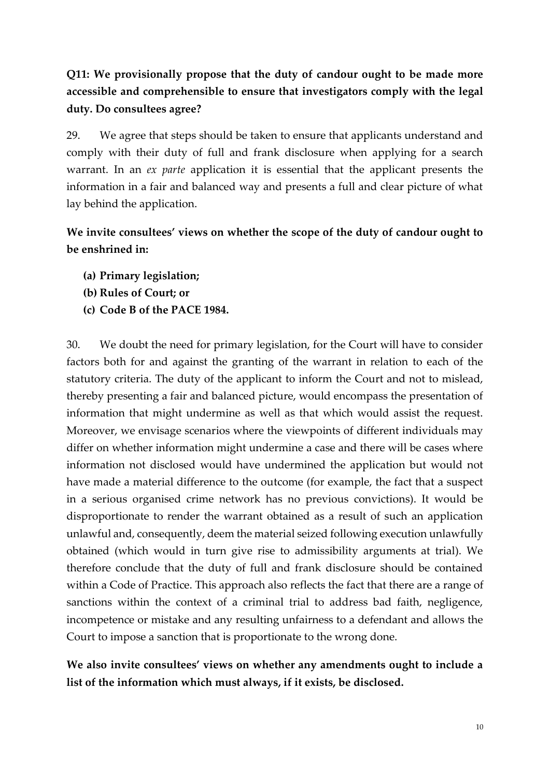# **Q11: We provisionally propose that the duty of candour ought to be made more accessible and comprehensible to ensure that investigators comply with the legal duty. Do consultees agree?**

29. We agree that steps should be taken to ensure that applicants understand and comply with their duty of full and frank disclosure when applying for a search warrant. In an *ex parte* application it is essential that the applicant presents the information in a fair and balanced way and presents a full and clear picture of what lay behind the application.

## **We invite consultees' views on whether the scope of the duty of candour ought to be enshrined in:**

- **(a) Primary legislation;**
- **(b) Rules of Court; or**
- **(c) Code B of the PACE 1984.**

30. We doubt the need for primary legislation, for the Court will have to consider factors both for and against the granting of the warrant in relation to each of the statutory criteria. The duty of the applicant to inform the Court and not to mislead, thereby presenting a fair and balanced picture, would encompass the presentation of information that might undermine as well as that which would assist the request. Moreover, we envisage scenarios where the viewpoints of different individuals may differ on whether information might undermine a case and there will be cases where information not disclosed would have undermined the application but would not have made a material difference to the outcome (for example, the fact that a suspect in a serious organised crime network has no previous convictions). It would be disproportionate to render the warrant obtained as a result of such an application unlawful and, consequently, deem the material seized following execution unlawfully obtained (which would in turn give rise to admissibility arguments at trial). We therefore conclude that the duty of full and frank disclosure should be contained within a Code of Practice. This approach also reflects the fact that there are a range of sanctions within the context of a criminal trial to address bad faith, negligence, incompetence or mistake and any resulting unfairness to a defendant and allows the Court to impose a sanction that is proportionate to the wrong done.

## **We also invite consultees' views on whether any amendments ought to include a list of the information which must always, if it exists, be disclosed.**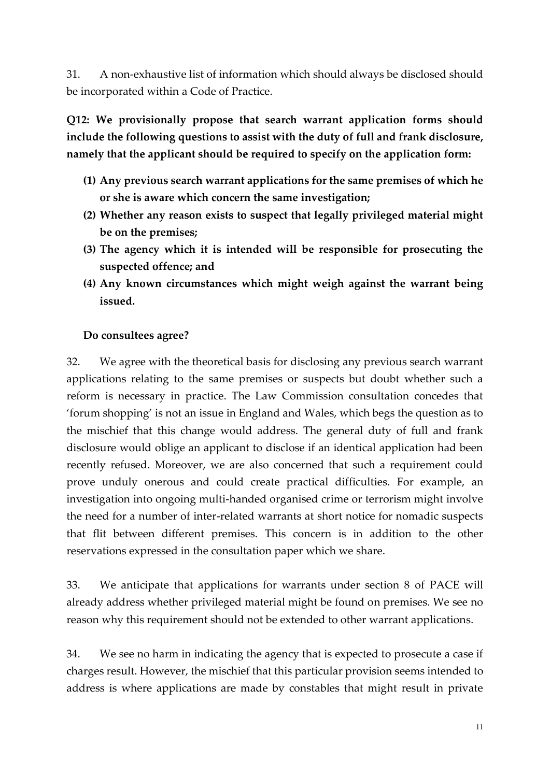31. A non-exhaustive list of information which should always be disclosed should be incorporated within a Code of Practice.

**Q12: We provisionally propose that search warrant application forms should include the following questions to assist with the duty of full and frank disclosure, namely that the applicant should be required to specify on the application form:**

- **(1) Any previous search warrant applications for the same premises of which he or she is aware which concern the same investigation;**
- **(2) Whether any reason exists to suspect that legally privileged material might be on the premises;**
- **(3) The agency which it is intended will be responsible for prosecuting the suspected offence; and**
- **(4) Any known circumstances which might weigh against the warrant being issued.**

### **Do consultees agree?**

32. We agree with the theoretical basis for disclosing any previous search warrant applications relating to the same premises or suspects but doubt whether such a reform is necessary in practice. The Law Commission consultation concedes that 'forum shopping' is not an issue in England and Wales, which begs the question as to the mischief that this change would address. The general duty of full and frank disclosure would oblige an applicant to disclose if an identical application had been recently refused. Moreover, we are also concerned that such a requirement could prove unduly onerous and could create practical difficulties. For example, an investigation into ongoing multi-handed organised crime or terrorism might involve the need for a number of inter-related warrants at short notice for nomadic suspects that flit between different premises. This concern is in addition to the other reservations expressed in the consultation paper which we share.

33. We anticipate that applications for warrants under section 8 of PACE will already address whether privileged material might be found on premises. We see no reason why this requirement should not be extended to other warrant applications.

34. We see no harm in indicating the agency that is expected to prosecute a case if charges result. However, the mischief that this particular provision seems intended to address is where applications are made by constables that might result in private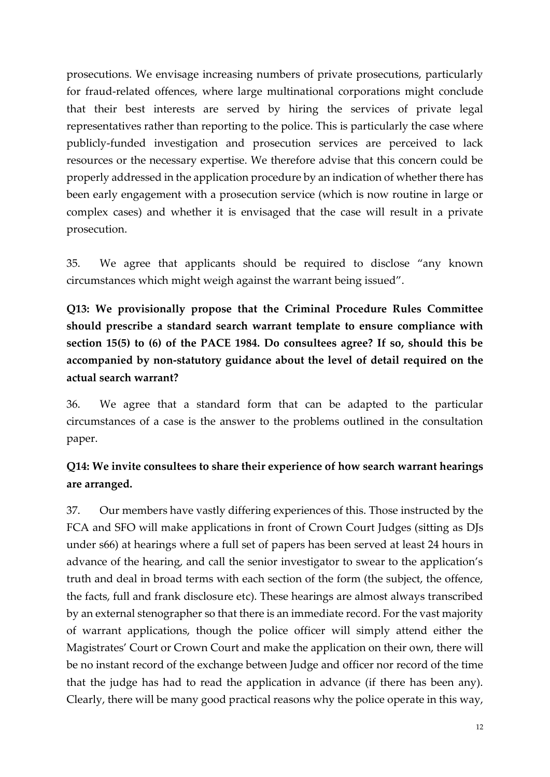prosecutions. We envisage increasing numbers of private prosecutions, particularly for fraud-related offences, where large multinational corporations might conclude that their best interests are served by hiring the services of private legal representatives rather than reporting to the police. This is particularly the case where publicly-funded investigation and prosecution services are perceived to lack resources or the necessary expertise. We therefore advise that this concern could be properly addressed in the application procedure by an indication of whether there has been early engagement with a prosecution service (which is now routine in large or complex cases) and whether it is envisaged that the case will result in a private prosecution.

35. We agree that applicants should be required to disclose "any known circumstances which might weigh against the warrant being issued".

**Q13: We provisionally propose that the Criminal Procedure Rules Committee should prescribe a standard search warrant template to ensure compliance with section 15(5) to (6) of the PACE 1984. Do consultees agree? If so, should this be accompanied by non-statutory guidance about the level of detail required on the actual search warrant?**

36. We agree that a standard form that can be adapted to the particular circumstances of a case is the answer to the problems outlined in the consultation paper.

## **Q14: We invite consultees to share their experience of how search warrant hearings are arranged.**

37. Our members have vastly differing experiences of this. Those instructed by the FCA and SFO will make applications in front of Crown Court Judges (sitting as DJs under s66) at hearings where a full set of papers has been served at least 24 hours in advance of the hearing, and call the senior investigator to swear to the application's truth and deal in broad terms with each section of the form (the subject, the offence, the facts, full and frank disclosure etc). These hearings are almost always transcribed by an external stenographer so that there is an immediate record. For the vast majority of warrant applications, though the police officer will simply attend either the Magistrates' Court or Crown Court and make the application on their own, there will be no instant record of the exchange between Judge and officer nor record of the time that the judge has had to read the application in advance (if there has been any). Clearly, there will be many good practical reasons why the police operate in this way,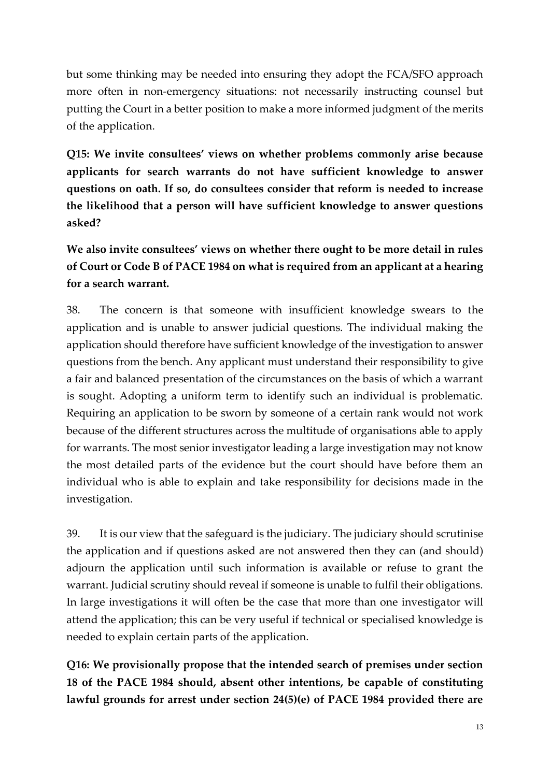but some thinking may be needed into ensuring they adopt the FCA/SFO approach more often in non-emergency situations: not necessarily instructing counsel but putting the Court in a better position to make a more informed judgment of the merits of the application.

**Q15: We invite consultees' views on whether problems commonly arise because applicants for search warrants do not have sufficient knowledge to answer questions on oath. If so, do consultees consider that reform is needed to increase the likelihood that a person will have sufficient knowledge to answer questions asked?**

**We also invite consultees' views on whether there ought to be more detail in rules of Court or Code B of PACE 1984 on what is required from an applicant at a hearing for a search warrant.** 

38. The concern is that someone with insufficient knowledge swears to the application and is unable to answer judicial questions. The individual making the application should therefore have sufficient knowledge of the investigation to answer questions from the bench. Any applicant must understand their responsibility to give a fair and balanced presentation of the circumstances on the basis of which a warrant is sought. Adopting a uniform term to identify such an individual is problematic. Requiring an application to be sworn by someone of a certain rank would not work because of the different structures across the multitude of organisations able to apply for warrants. The most senior investigator leading a large investigation may not know the most detailed parts of the evidence but the court should have before them an individual who is able to explain and take responsibility for decisions made in the investigation.

39. It is our view that the safeguard is the judiciary. The judiciary should scrutinise the application and if questions asked are not answered then they can (and should) adjourn the application until such information is available or refuse to grant the warrant. Judicial scrutiny should reveal if someone is unable to fulfil their obligations. In large investigations it will often be the case that more than one investigator will attend the application; this can be very useful if technical or specialised knowledge is needed to explain certain parts of the application.

**Q16: We provisionally propose that the intended search of premises under section 18 of the PACE 1984 should, absent other intentions, be capable of constituting lawful grounds for arrest under section 24(5)(e) of PACE 1984 provided there are**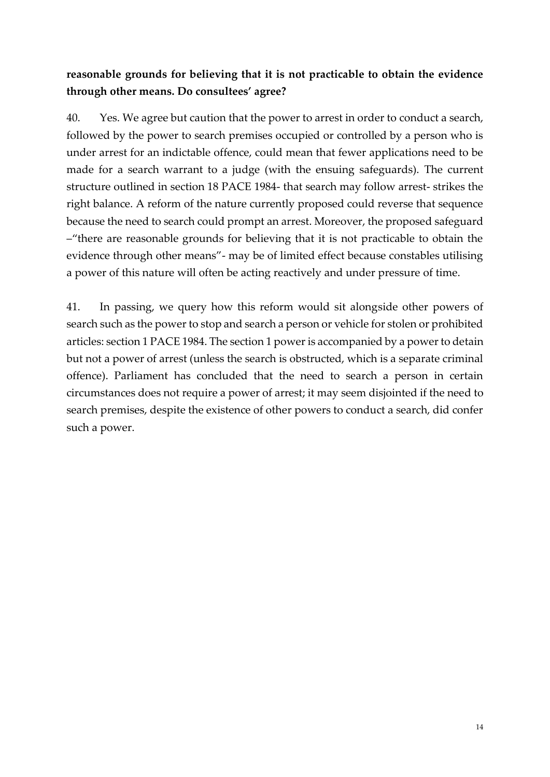## **reasonable grounds for believing that it is not practicable to obtain the evidence through other means. Do consultees' agree?**

40. Yes. We agree but caution that the power to arrest in order to conduct a search, followed by the power to search premises occupied or controlled by a person who is under arrest for an indictable offence, could mean that fewer applications need to be made for a search warrant to a judge (with the ensuing safeguards). The current structure outlined in section 18 PACE 1984- that search may follow arrest- strikes the right balance. A reform of the nature currently proposed could reverse that sequence because the need to search could prompt an arrest. Moreover, the proposed safeguard –"there are reasonable grounds for believing that it is not practicable to obtain the evidence through other means"- may be of limited effect because constables utilising a power of this nature will often be acting reactively and under pressure of time.

41. In passing, we query how this reform would sit alongside other powers of search such as the power to stop and search a person or vehicle for stolen or prohibited articles: section 1 PACE 1984. The section 1 power is accompanied by a power to detain but not a power of arrest (unless the search is obstructed, which is a separate criminal offence). Parliament has concluded that the need to search a person in certain circumstances does not require a power of arrest; it may seem disjointed if the need to search premises, despite the existence of other powers to conduct a search, did confer such a power.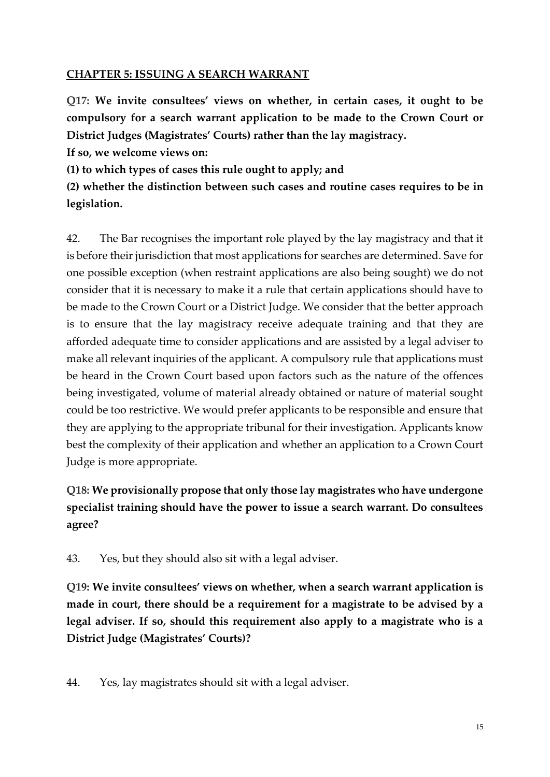#### **CHAPTER 5: ISSUING A SEARCH WARRANT**

**Q17: We invite consultees' views on whether, in certain cases, it ought to be compulsory for a search warrant application to be made to the Crown Court or District Judges (Magistrates' Courts) rather than the lay magistracy.**

**If so, we welcome views on:**

**(1) to which types of cases this rule ought to apply; and**

**(2) whether the distinction between such cases and routine cases requires to be in legislation.**

42. The Bar recognises the important role played by the lay magistracy and that it is before their jurisdiction that most applications for searches are determined. Save for one possible exception (when restraint applications are also being sought) we do not consider that it is necessary to make it a rule that certain applications should have to be made to the Crown Court or a District Judge. We consider that the better approach is to ensure that the lay magistracy receive adequate training and that they are afforded adequate time to consider applications and are assisted by a legal adviser to make all relevant inquiries of the applicant. A compulsory rule that applications must be heard in the Crown Court based upon factors such as the nature of the offences being investigated, volume of material already obtained or nature of material sought could be too restrictive. We would prefer applicants to be responsible and ensure that they are applying to the appropriate tribunal for their investigation. Applicants know best the complexity of their application and whether an application to a Crown Court Judge is more appropriate.

# **Q18: We provisionally propose that only those lay magistrates who have undergone specialist training should have the power to issue a search warrant. Do consultees agree?**

43. Yes, but they should also sit with a legal adviser.

**Q19: We invite consultees' views on whether, when a search warrant application is made in court, there should be a requirement for a magistrate to be advised by a legal adviser. If so, should this requirement also apply to a magistrate who is a District Judge (Magistrates' Courts)?**

44. Yes, lay magistrates should sit with a legal adviser.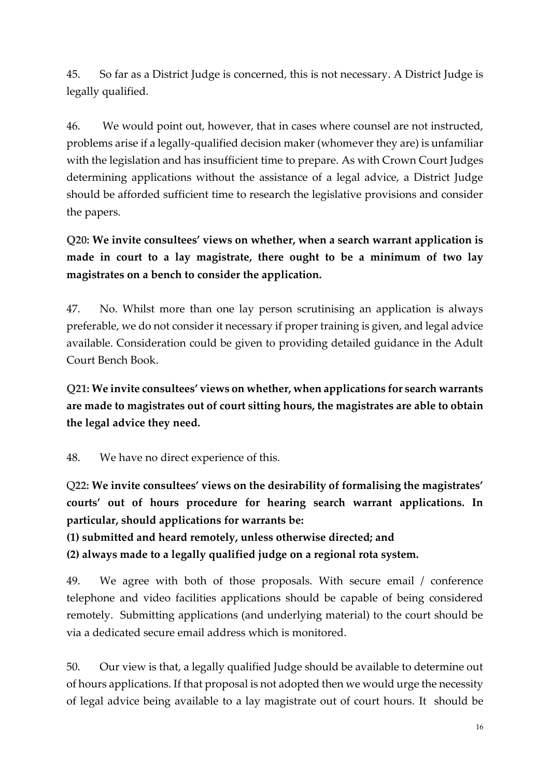45. So far as a District Judge is concerned, this is not necessary. A District Judge is legally qualified.

46. We would point out, however, that in cases where counsel are not instructed, problems arise if a legally-qualified decision maker (whomever they are) is unfamiliar with the legislation and has insufficient time to prepare. As with Crown Court Judges determining applications without the assistance of a legal advice, a District Judge should be afforded sufficient time to research the legislative provisions and consider the papers.

**Q20: We invite consultees' views on whether, when a search warrant application is made in court to a lay magistrate, there ought to be a minimum of two lay magistrates on a bench to consider the application.**

47. No. Whilst more than one lay person scrutinising an application is always preferable, we do not consider it necessary if proper training is given, and legal advice available. Consideration could be given to providing detailed guidance in the Adult Court Bench Book.

**Q21: We invite consultees' views on whether, when applications for search warrants are made to magistrates out of court sitting hours, the magistrates are able to obtain the legal advice they need.**

48. We have no direct experience of this.

Q**22: We invite consultees' views on the desirability of formalising the magistrates' courts' out of hours procedure for hearing search warrant applications. In particular, should applications for warrants be:**

**(1) submitted and heard remotely, unless otherwise directed; and**

**(2) always made to a legally qualified judge on a regional rota system.**

49. We agree with both of those proposals. With secure email / conference telephone and video facilities applications should be capable of being considered remotely. Submitting applications (and underlying material) to the court should be via a dedicated secure email address which is monitored.

50. Our view is that, a legally qualified Judge should be available to determine out of hours applications. If that proposal is not adopted then we would urge the necessity of legal advice being available to a lay magistrate out of court hours. It should be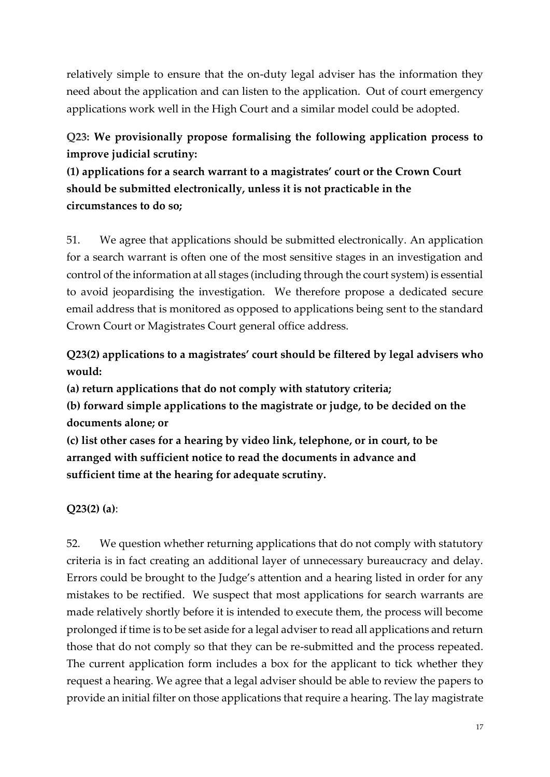relatively simple to ensure that the on-duty legal adviser has the information they need about the application and can listen to the application. Out of court emergency applications work well in the High Court and a similar model could be adopted.

# **Q23: We provisionally propose formalising the following application process to improve judicial scrutiny:**

**(1) applications for a search warrant to a magistrates' court or the Crown Court should be submitted electronically, unless it is not practicable in the circumstances to do so;** 

51. We agree that applications should be submitted electronically. An application for a search warrant is often one of the most sensitive stages in an investigation and control of the information at all stages (including through the court system) is essential to avoid jeopardising the investigation. We therefore propose a dedicated secure email address that is monitored as opposed to applications being sent to the standard Crown Court or Magistrates Court general office address.

# **Q23(2) applications to a magistrates' court should be filtered by legal advisers who would:**

**(a) return applications that do not comply with statutory criteria;**

**(b) forward simple applications to the magistrate or judge, to be decided on the documents alone; or**

**(c) list other cases for a hearing by video link, telephone, or in court, to be arranged with sufficient notice to read the documents in advance and sufficient time at the hearing for adequate scrutiny.**

## **Q23(2) (a)**:

52. We question whether returning applications that do not comply with statutory criteria is in fact creating an additional layer of unnecessary bureaucracy and delay. Errors could be brought to the Judge's attention and a hearing listed in order for any mistakes to be rectified. We suspect that most applications for search warrants are made relatively shortly before it is intended to execute them, the process will become prolonged if time is to be set aside for a legal adviser to read all applications and return those that do not comply so that they can be re-submitted and the process repeated. The current application form includes a box for the applicant to tick whether they request a hearing. We agree that a legal adviser should be able to review the papers to provide an initial filter on those applications that require a hearing. The lay magistrate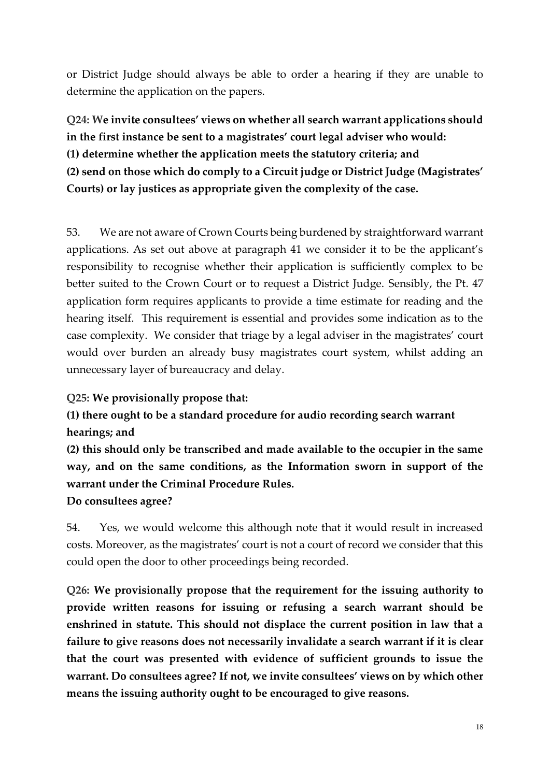or District Judge should always be able to order a hearing if they are unable to determine the application on the papers.

**Q24: We invite consultees' views on whether all search warrant applications should in the first instance be sent to a magistrates' court legal adviser who would: (1) determine whether the application meets the statutory criteria; and (2) send on those which do comply to a Circuit judge or District Judge (Magistrates' Courts) or lay justices as appropriate given the complexity of the case.**

53. We are not aware of Crown Courts being burdened by straightforward warrant applications. As set out above at paragraph 41 we consider it to be the applicant's responsibility to recognise whether their application is sufficiently complex to be better suited to the Crown Court or to request a District Judge. Sensibly, the Pt. 47 application form requires applicants to provide a time estimate for reading and the hearing itself. This requirement is essential and provides some indication as to the case complexity. We consider that triage by a legal adviser in the magistrates' court would over burden an already busy magistrates court system, whilst adding an unnecessary layer of bureaucracy and delay.

### **Q25: We provisionally propose that:**

# **(1) there ought to be a standard procedure for audio recording search warrant hearings; and**

**(2) this should only be transcribed and made available to the occupier in the same way, and on the same conditions, as the Information sworn in support of the warrant under the Criminal Procedure Rules.**

**Do consultees agree?**

54. Yes, we would welcome this although note that it would result in increased costs. Moreover, as the magistrates' court is not a court of record we consider that this could open the door to other proceedings being recorded.

**Q26: We provisionally propose that the requirement for the issuing authority to provide written reasons for issuing or refusing a search warrant should be enshrined in statute. This should not displace the current position in law that a failure to give reasons does not necessarily invalidate a search warrant if it is clear that the court was presented with evidence of sufficient grounds to issue the warrant. Do consultees agree? If not, we invite consultees' views on by which other means the issuing authority ought to be encouraged to give reasons.**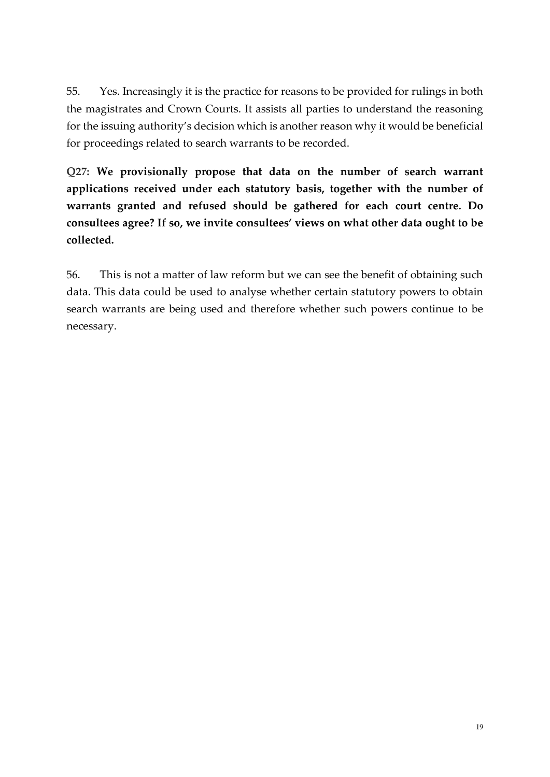55. Yes. Increasingly it is the practice for reasons to be provided for rulings in both the magistrates and Crown Courts. It assists all parties to understand the reasoning for the issuing authority's decision which is another reason why it would be beneficial for proceedings related to search warrants to be recorded.

**Q27: We provisionally propose that data on the number of search warrant applications received under each statutory basis, together with the number of warrants granted and refused should be gathered for each court centre. Do consultees agree? If so, we invite consultees' views on what other data ought to be collected.**

56. This is not a matter of law reform but we can see the benefit of obtaining such data. This data could be used to analyse whether certain statutory powers to obtain search warrants are being used and therefore whether such powers continue to be necessary.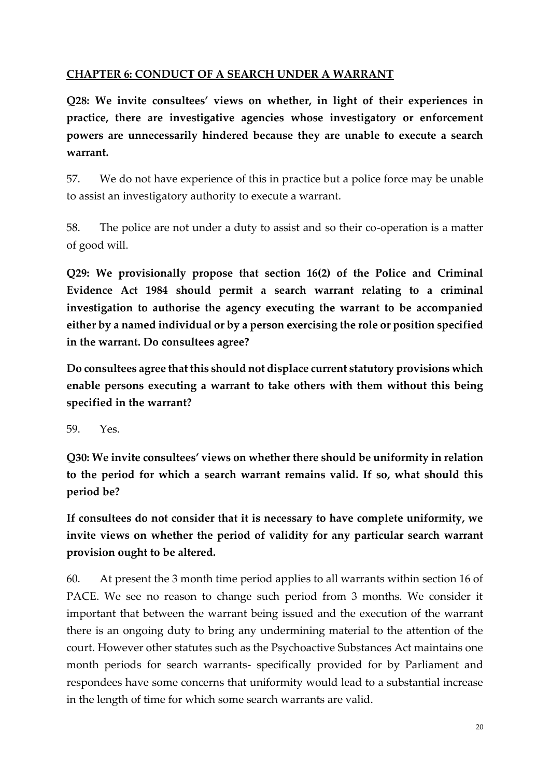### **CHAPTER 6: CONDUCT OF A SEARCH UNDER A WARRANT**

**Q28: We invite consultees' views on whether, in light of their experiences in practice, there are investigative agencies whose investigatory or enforcement powers are unnecessarily hindered because they are unable to execute a search warrant.**

57. We do not have experience of this in practice but a police force may be unable to assist an investigatory authority to execute a warrant.

58. The police are not under a duty to assist and so their co-operation is a matter of good will.

**Q29: We provisionally propose that section 16(2) of the Police and Criminal Evidence Act 1984 should permit a search warrant relating to a criminal investigation to authorise the agency executing the warrant to be accompanied either by a named individual or by a person exercising the role or position specified in the warrant. Do consultees agree?**

**Do consultees agree that this should not displace current statutory provisions which enable persons executing a warrant to take others with them without this being specified in the warrant?**

59. Yes.

**Q30: We invite consultees' views on whether there should be uniformity in relation to the period for which a search warrant remains valid. If so, what should this period be?**

**If consultees do not consider that it is necessary to have complete uniformity, we invite views on whether the period of validity for any particular search warrant provision ought to be altered.**

60. At present the 3 month time period applies to all warrants within section 16 of PACE. We see no reason to change such period from 3 months. We consider it important that between the warrant being issued and the execution of the warrant there is an ongoing duty to bring any undermining material to the attention of the court. However other statutes such as the Psychoactive Substances Act maintains one month periods for search warrants- specifically provided for by Parliament and respondees have some concerns that uniformity would lead to a substantial increase in the length of time for which some search warrants are valid.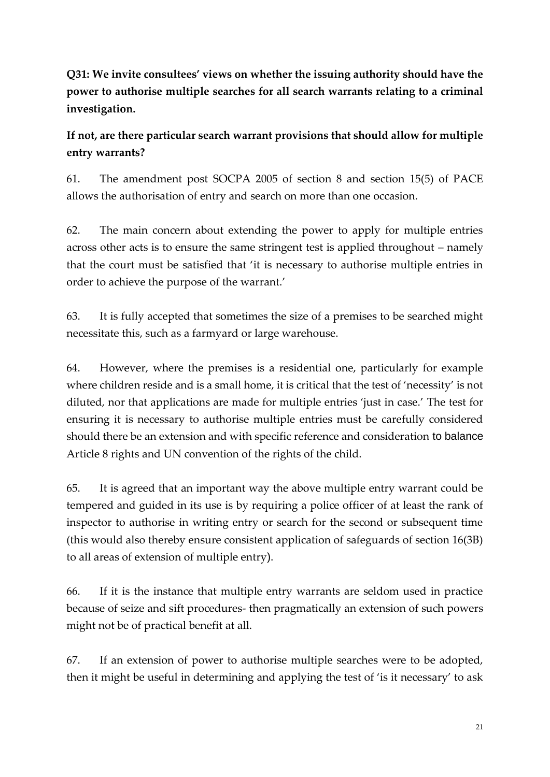**Q31: We invite consultees' views on whether the issuing authority should have the power to authorise multiple searches for all search warrants relating to a criminal investigation.**

**If not, are there particular search warrant provisions that should allow for multiple entry warrants?**

61. The amendment post SOCPA 2005 of section 8 and section 15(5) of PACE allows the authorisation of entry and search on more than one occasion.

62. The main concern about extending the power to apply for multiple entries across other acts is to ensure the same stringent test is applied throughout – namely that the court must be satisfied that 'it is necessary to authorise multiple entries in order to achieve the purpose of the warrant.'

63. It is fully accepted that sometimes the size of a premises to be searched might necessitate this, such as a farmyard or large warehouse.

64. However, where the premises is a residential one, particularly for example where children reside and is a small home, it is critical that the test of 'necessity' is not diluted, nor that applications are made for multiple entries 'just in case.' The test for ensuring it is necessary to authorise multiple entries must be carefully considered should there be an extension and with specific reference and consideration to balance Article 8 rights and UN convention of the rights of the child.

65. It is agreed that an important way the above multiple entry warrant could be tempered and guided in its use is by requiring a police officer of at least the rank of inspector to authorise in writing entry or search for the second or subsequent time (this would also thereby ensure consistent application of safeguards of section 16(3B) to all areas of extension of multiple entry).

66. If it is the instance that multiple entry warrants are seldom used in practice because of seize and sift procedures- then pragmatically an extension of such powers might not be of practical benefit at all.

67. If an extension of power to authorise multiple searches were to be adopted, then it might be useful in determining and applying the test of 'is it necessary' to ask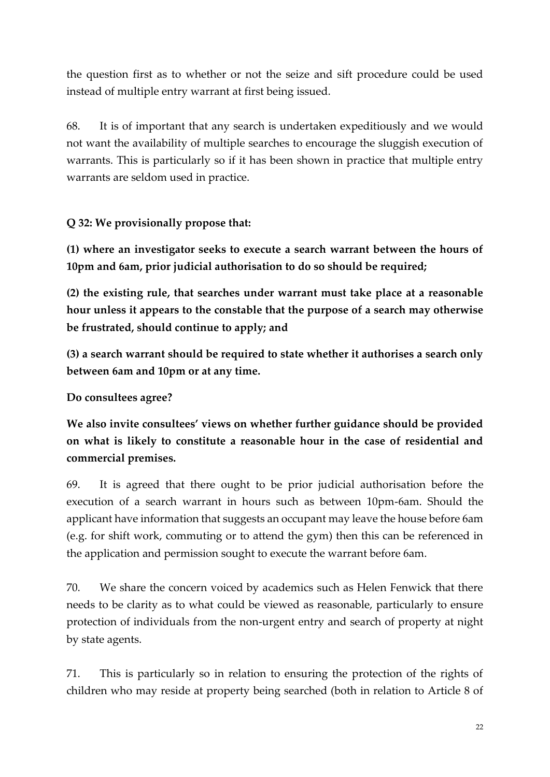the question first as to whether or not the seize and sift procedure could be used instead of multiple entry warrant at first being issued.

68. It is of important that any search is undertaken expeditiously and we would not want the availability of multiple searches to encourage the sluggish execution of warrants. This is particularly so if it has been shown in practice that multiple entry warrants are seldom used in practice.

## **Q 32: We provisionally propose that:**

**(1) where an investigator seeks to execute a search warrant between the hours of 10pm and 6am, prior judicial authorisation to do so should be required;**

**(2) the existing rule, that searches under warrant must take place at a reasonable hour unless it appears to the constable that the purpose of a search may otherwise be frustrated, should continue to apply; and**

**(3) a search warrant should be required to state whether it authorises a search only between 6am and 10pm or at any time.**

## **Do consultees agree?**

**We also invite consultees' views on whether further guidance should be provided on what is likely to constitute a reasonable hour in the case of residential and commercial premises.**

69. It is agreed that there ought to be prior judicial authorisation before the execution of a search warrant in hours such as between 10pm-6am. Should the applicant have information that suggests an occupant may leave the house before 6am (e.g. for shift work, commuting or to attend the gym) then this can be referenced in the application and permission sought to execute the warrant before 6am.

70. We share the concern voiced by academics such as Helen Fenwick that there needs to be clarity as to what could be viewed as reasonable, particularly to ensure protection of individuals from the non-urgent entry and search of property at night by state agents.

71. This is particularly so in relation to ensuring the protection of the rights of children who may reside at property being searched (both in relation to Article 8 of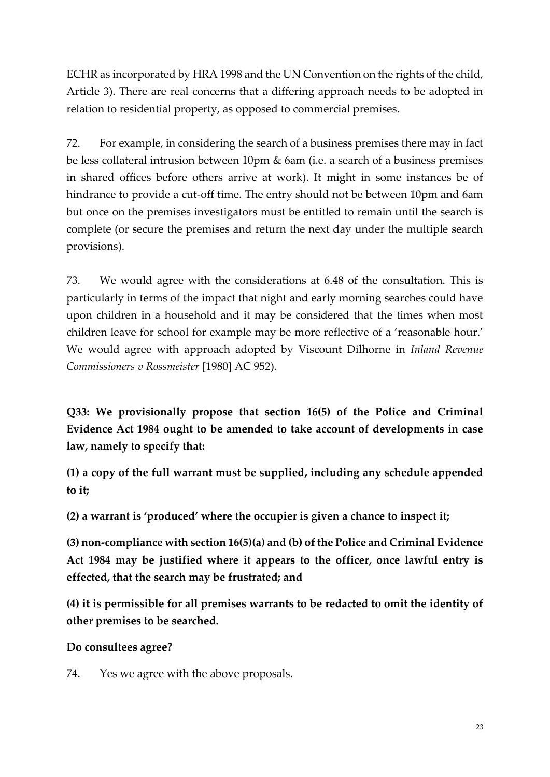ECHR as incorporated by HRA 1998 and the UN Convention on the rights of the child, Article 3). There are real concerns that a differing approach needs to be adopted in relation to residential property, as opposed to commercial premises.

72. For example, in considering the search of a business premises there may in fact be less collateral intrusion between 10pm & 6am (i.e. a search of a business premises in shared offices before others arrive at work). It might in some instances be of hindrance to provide a cut-off time. The entry should not be between 10pm and 6am but once on the premises investigators must be entitled to remain until the search is complete (or secure the premises and return the next day under the multiple search provisions).

73. We would agree with the considerations at 6.48 of the consultation. This is particularly in terms of the impact that night and early morning searches could have upon children in a household and it may be considered that the times when most children leave for school for example may be more reflective of a 'reasonable hour.' We would agree with approach adopted by Viscount Dilhorne in *Inland Revenue Commissioners v Rossmeister* [1980] AC 952).

**Q33: We provisionally propose that section 16(5) of the Police and Criminal Evidence Act 1984 ought to be amended to take account of developments in case law, namely to specify that:**

**(1) a copy of the full warrant must be supplied, including any schedule appended to it;**

**(2) a warrant is 'produced' where the occupier is given a chance to inspect it;**

**(3) non-compliance with section 16(5)(a) and (b) of the Police and Criminal Evidence Act 1984 may be justified where it appears to the officer, once lawful entry is effected, that the search may be frustrated; and**

**(4) it is permissible for all premises warrants to be redacted to omit the identity of other premises to be searched.**

**Do consultees agree?**

74. Yes we agree with the above proposals.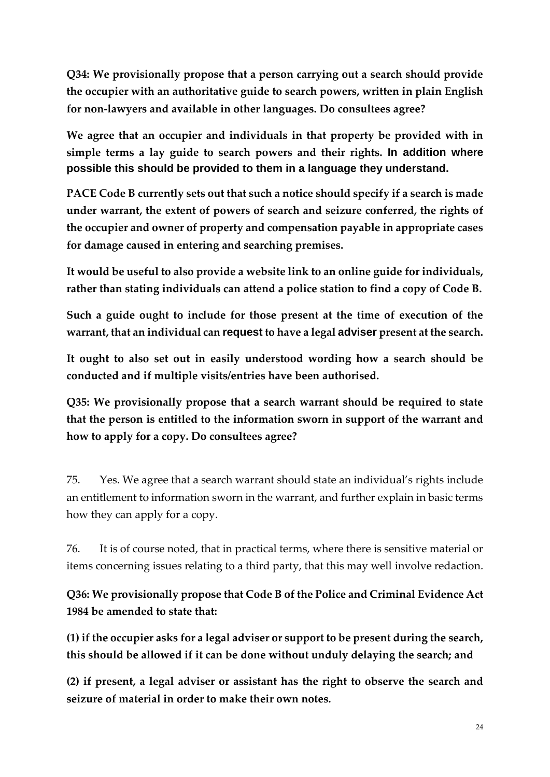**Q34: We provisionally propose that a person carrying out a search should provide the occupier with an authoritative guide to search powers, written in plain English for non-lawyers and available in other languages. Do consultees agree?**

**We agree that an occupier and individuals in that property be provided with in simple terms a lay guide to search powers and their rights. In addition where possible this should be provided to them in a language they understand.**

**PACE Code B currently sets out that such a notice should specify if a search is made under warrant, the extent of powers of search and seizure conferred, the rights of the occupier and owner of property and compensation payable in appropriate cases for damage caused in entering and searching premises.** 

**It would be useful to also provide a website link to an online guide for individuals, rather than stating individuals can attend a police station to find a copy of Code B.**

**Such a guide ought to include for those present at the time of execution of the warrant, that an individual can request to have a legal adviser present at the search.** 

**It ought to also set out in easily understood wording how a search should be conducted and if multiple visits/entries have been authorised.** 

**Q35: We provisionally propose that a search warrant should be required to state that the person is entitled to the information sworn in support of the warrant and how to apply for a copy. Do consultees agree?**

75. Yes. We agree that a search warrant should state an individual's rights include an entitlement to information sworn in the warrant, and further explain in basic terms how they can apply for a copy.

76. It is of course noted, that in practical terms, where there is sensitive material or items concerning issues relating to a third party, that this may well involve redaction.

**Q36: We provisionally propose that Code B of the Police and Criminal Evidence Act 1984 be amended to state that:**

**(1) if the occupier asks for a legal adviser or support to be present during the search, this should be allowed if it can be done without unduly delaying the search; and**

**(2) if present, a legal adviser or assistant has the right to observe the search and seizure of material in order to make their own notes.**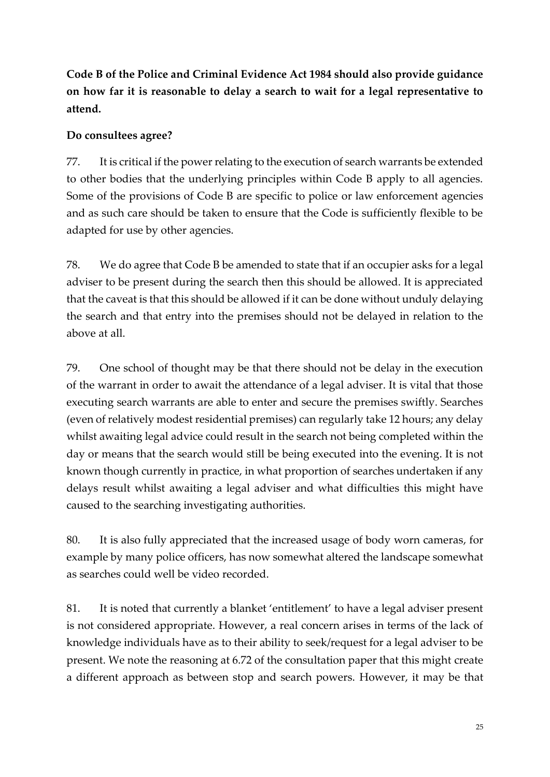**Code B of the Police and Criminal Evidence Act 1984 should also provide guidance on how far it is reasonable to delay a search to wait for a legal representative to attend.** 

### **Do consultees agree?**

77. It is critical if the power relating to the execution of search warrants be extended to other bodies that the underlying principles within Code B apply to all agencies. Some of the provisions of Code B are specific to police or law enforcement agencies and as such care should be taken to ensure that the Code is sufficiently flexible to be adapted for use by other agencies.

78. We do agree that Code B be amended to state that if an occupier asks for a legal adviser to be present during the search then this should be allowed. It is appreciated that the caveat is that this should be allowed if it can be done without unduly delaying the search and that entry into the premises should not be delayed in relation to the above at all.

79. One school of thought may be that there should not be delay in the execution of the warrant in order to await the attendance of a legal adviser. It is vital that those executing search warrants are able to enter and secure the premises swiftly. Searches (even of relatively modest residential premises) can regularly take 12 hours; any delay whilst awaiting legal advice could result in the search not being completed within the day or means that the search would still be being executed into the evening. It is not known though currently in practice, in what proportion of searches undertaken if any delays result whilst awaiting a legal adviser and what difficulties this might have caused to the searching investigating authorities.

80. It is also fully appreciated that the increased usage of body worn cameras, for example by many police officers, has now somewhat altered the landscape somewhat as searches could well be video recorded.

81. It is noted that currently a blanket 'entitlement' to have a legal adviser present is not considered appropriate. However, a real concern arises in terms of the lack of knowledge individuals have as to their ability to seek/request for a legal adviser to be present. We note the reasoning at 6.72 of the consultation paper that this might create a different approach as between stop and search powers. However, it may be that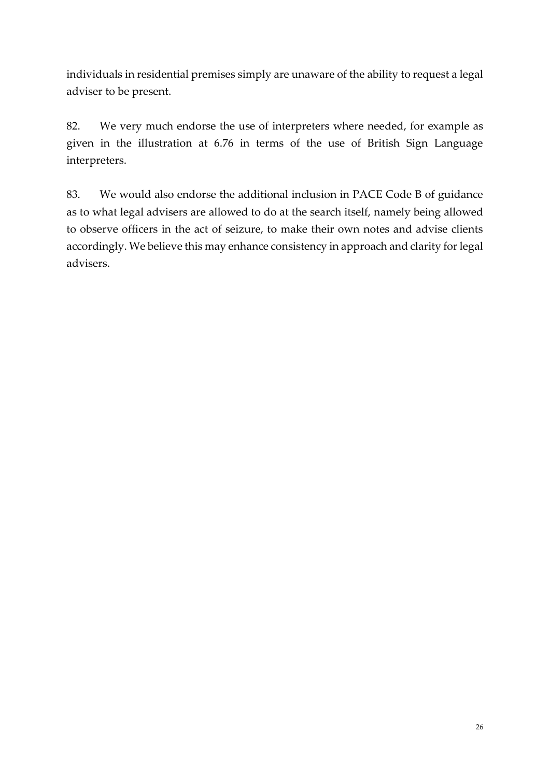individuals in residential premises simply are unaware of the ability to request a legal adviser to be present.

82. We very much endorse the use of interpreters where needed, for example as given in the illustration at 6.76 in terms of the use of British Sign Language interpreters.

83. We would also endorse the additional inclusion in PACE Code B of guidance as to what legal advisers are allowed to do at the search itself, namely being allowed to observe officers in the act of seizure, to make their own notes and advise clients accordingly. We believe this may enhance consistency in approach and clarity for legal advisers.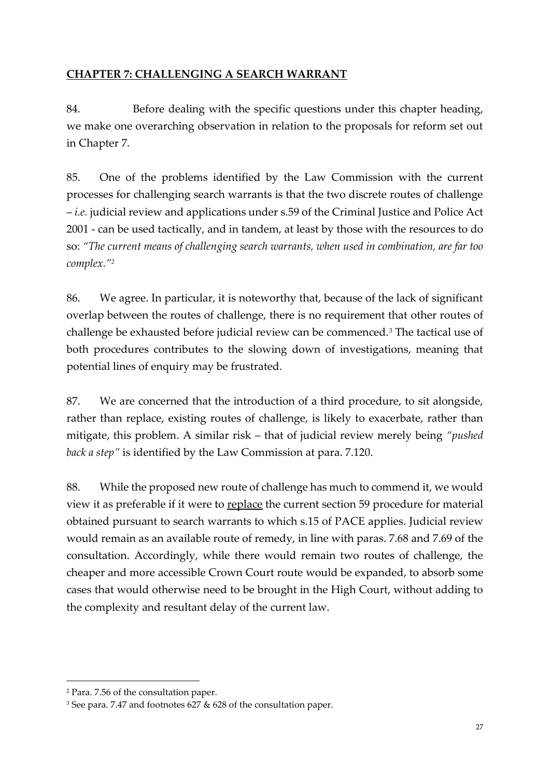### **CHAPTER 7: CHALLENGING A SEARCH WARRANT**

84. Before dealing with the specific questions under this chapter heading, we make one overarching observation in relation to the proposals for reform set out in Chapter 7.

85. One of the problems identified by the Law Commission with the current processes for challenging search warrants is that the two discrete routes of challenge – *i.e.* judicial review and applications under s.59 of the Criminal Justice and Police Act 2001 - can be used tactically, and in tandem, at least by those with the resources to do so: *"The current means of challenging search warrants, when used in combination, are far too complex."<sup>2</sup>*

86. We agree. In particular, it is noteworthy that, because of the lack of significant overlap between the routes of challenge, there is no requirement that other routes of challenge be exhausted before judicial review can be commenced.<sup>3</sup> The tactical use of both procedures contributes to the slowing down of investigations, meaning that potential lines of enquiry may be frustrated.

87. We are concerned that the introduction of a third procedure, to sit alongside, rather than replace, existing routes of challenge, is likely to exacerbate, rather than mitigate, this problem. A similar risk – that of judicial review merely being *"pushed back a step"* is identified by the Law Commission at para. 7.120.

88. While the proposed new route of challenge has much to commend it, we would view it as preferable if it were to replace the current section 59 procedure for material obtained pursuant to search warrants to which s.15 of PACE applies. Judicial review would remain as an available route of remedy, in line with paras. 7.68 and 7.69 of the consultation. Accordingly, while there would remain two routes of challenge, the cheaper and more accessible Crown Court route would be expanded, to absorb some cases that would otherwise need to be brought in the High Court, without adding to the complexity and resultant delay of the current law.

**.** 

<sup>2</sup> Para. 7.56 of the consultation paper.

<sup>3</sup> See para. 7.47 and footnotes 627 & 628 of the consultation paper.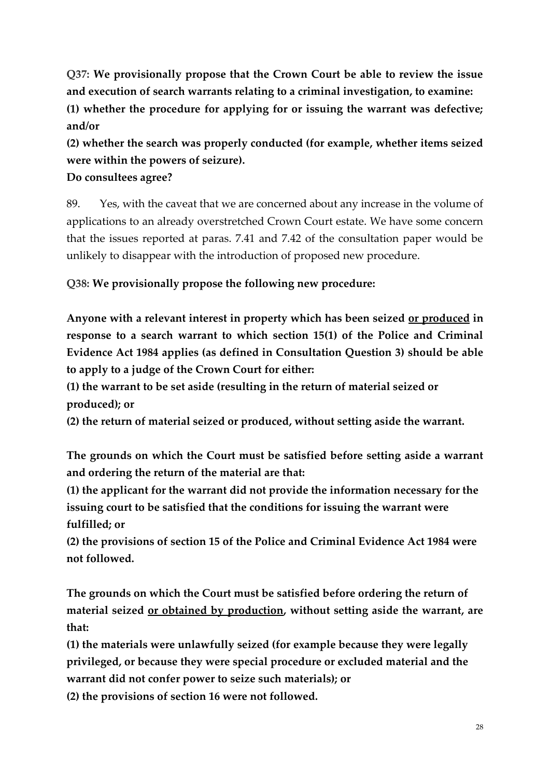**Q37: We provisionally propose that the Crown Court be able to review the issue and execution of search warrants relating to a criminal investigation, to examine: (1) whether the procedure for applying for or issuing the warrant was defective; and/or**

**(2) whether the search was properly conducted (for example, whether items seized were within the powers of seizure).**

**Do consultees agree?**

89. Yes, with the caveat that we are concerned about any increase in the volume of applications to an already overstretched Crown Court estate. We have some concern that the issues reported at paras. 7.41 and 7.42 of the consultation paper would be unlikely to disappear with the introduction of proposed new procedure.

**Q38: We provisionally propose the following new procedure:**

**Anyone with a relevant interest in property which has been seized or produced in response to a search warrant to which section 15(1) of the Police and Criminal Evidence Act 1984 applies (as defined in Consultation Question 3) should be able to apply to a judge of the Crown Court for either:**

**(1) the warrant to be set aside (resulting in the return of material seized or produced); or**

**(2) the return of material seized or produced, without setting aside the warrant.**

**The grounds on which the Court must be satisfied before setting aside a warrant and ordering the return of the material are that:**

**(1) the applicant for the warrant did not provide the information necessary for the issuing court to be satisfied that the conditions for issuing the warrant were fulfilled; or**

**(2) the provisions of section 15 of the Police and Criminal Evidence Act 1984 were not followed.**

**The grounds on which the Court must be satisfied before ordering the return of material seized or obtained by production, without setting aside the warrant, are that:**

**(1) the materials were unlawfully seized (for example because they were legally privileged, or because they were special procedure or excluded material and the warrant did not confer power to seize such materials); or**

**(2) the provisions of section 16 were not followed.**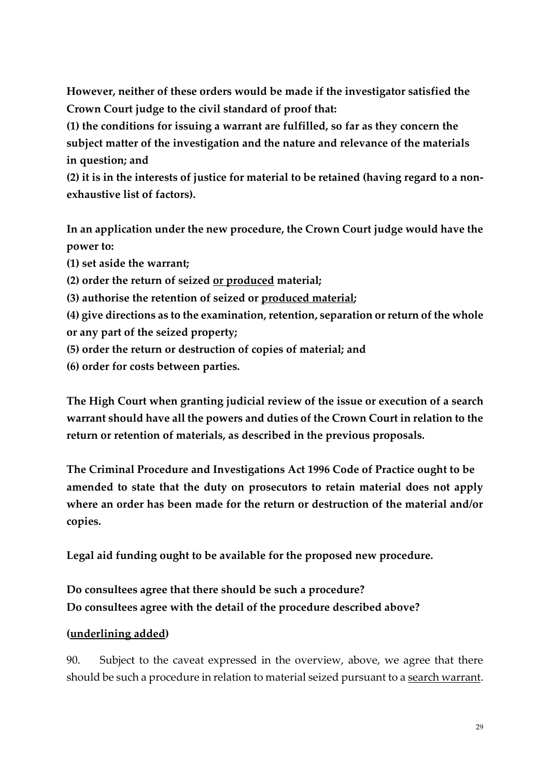**However, neither of these orders would be made if the investigator satisfied the Crown Court judge to the civil standard of proof that:**

**(1) the conditions for issuing a warrant are fulfilled, so far as they concern the subject matter of the investigation and the nature and relevance of the materials in question; and**

**(2) it is in the interests of justice for material to be retained (having regard to a nonexhaustive list of factors).**

**In an application under the new procedure, the Crown Court judge would have the power to:**

**(1) set aside the warrant;**

**(2) order the return of seized or produced material;**

**(3) authorise the retention of seized or produced material;**

**(4) give directions as to the examination, retention, separation or return of the whole or any part of the seized property;**

- **(5) order the return or destruction of copies of material; and**
- **(6) order for costs between parties.**

**The High Court when granting judicial review of the issue or execution of a search warrant should have all the powers and duties of the Crown Court in relation to the return or retention of materials, as described in the previous proposals.**

**The Criminal Procedure and Investigations Act 1996 Code of Practice ought to be amended to state that the duty on prosecutors to retain material does not apply where an order has been made for the return or destruction of the material and/or copies.**

**Legal aid funding ought to be available for the proposed new procedure.**

# **Do consultees agree that there should be such a procedure? Do consultees agree with the detail of the procedure described above?**

## **(underlining added)**

90. Subject to the caveat expressed in the overview, above, we agree that there should be such a procedure in relation to material seized pursuant to a search warrant.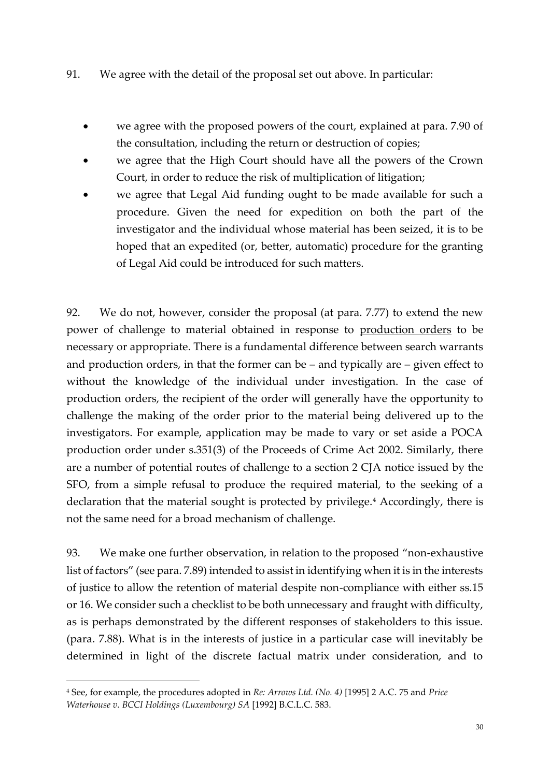- 91. We agree with the detail of the proposal set out above. In particular:
	- we agree with the proposed powers of the court, explained at para. 7.90 of the consultation, including the return or destruction of copies;
	- we agree that the High Court should have all the powers of the Crown Court, in order to reduce the risk of multiplication of litigation;
	- we agree that Legal Aid funding ought to be made available for such a procedure. Given the need for expedition on both the part of the investigator and the individual whose material has been seized, it is to be hoped that an expedited (or, better, automatic) procedure for the granting of Legal Aid could be introduced for such matters.

92. We do not, however, consider the proposal (at para. 7.77) to extend the new power of challenge to material obtained in response to production orders to be necessary or appropriate. There is a fundamental difference between search warrants and production orders, in that the former can be – and typically are – given effect to without the knowledge of the individual under investigation. In the case of production orders, the recipient of the order will generally have the opportunity to challenge the making of the order prior to the material being delivered up to the investigators. For example, application may be made to vary or set aside a POCA production order under s.351(3) of the Proceeds of Crime Act 2002. Similarly, there are a number of potential routes of challenge to a section 2 CJA notice issued by the SFO, from a simple refusal to produce the required material, to the seeking of a declaration that the material sought is protected by privilege.<sup>4</sup> Accordingly, there is not the same need for a broad mechanism of challenge.

93. We make one further observation, in relation to the proposed "non-exhaustive list of factors" (see para. 7.89) intended to assist in identifying when it is in the interests of justice to allow the retention of material despite non-compliance with either ss.15 or 16. We consider such a checklist to be both unnecessary and fraught with difficulty, as is perhaps demonstrated by the different responses of stakeholders to this issue. (para. 7.88). What is in the interests of justice in a particular case will inevitably be determined in light of the discrete factual matrix under consideration, and to

**.** 

<sup>4</sup> See, for example, the procedures adopted in *Re: Arrows Ltd. (No. 4)* [1995] 2 A.C. 75 and *Price Waterhouse v. BCCI Holdings (Luxembourg) SA* [1992] B.C.L.C. 583.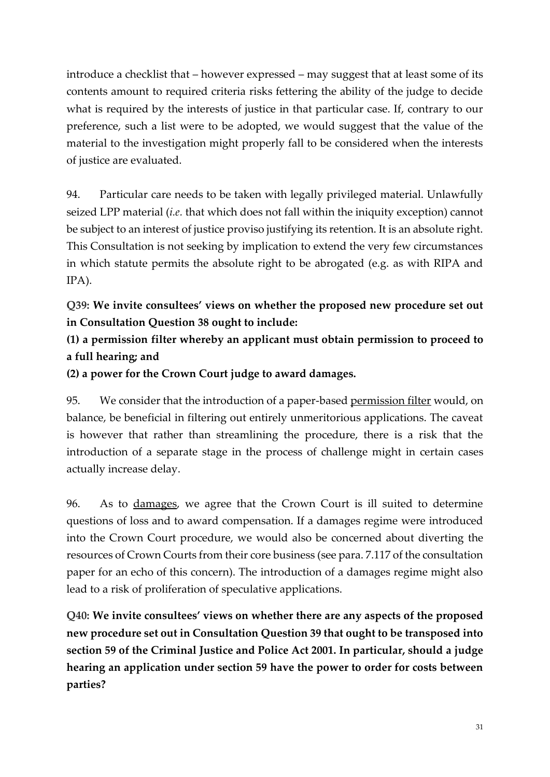introduce a checklist that – however expressed – may suggest that at least some of its contents amount to required criteria risks fettering the ability of the judge to decide what is required by the interests of justice in that particular case. If, contrary to our preference, such a list were to be adopted, we would suggest that the value of the material to the investigation might properly fall to be considered when the interests of justice are evaluated.

94. Particular care needs to be taken with legally privileged material. Unlawfully seized LPP material (*i.e.* that which does not fall within the iniquity exception) cannot be subject to an interest of justice proviso justifying its retention. It is an absolute right. This Consultation is not seeking by implication to extend the very few circumstances in which statute permits the absolute right to be abrogated (e.g. as with RIPA and IPA).

**Q39: We invite consultees' views on whether the proposed new procedure set out in Consultation Question 38 ought to include:**

**(1) a permission filter whereby an applicant must obtain permission to proceed to a full hearing; and**

**(2) a power for the Crown Court judge to award damages.**

95. We consider that the introduction of a paper-based permission filter would, on balance, be beneficial in filtering out entirely unmeritorious applications. The caveat is however that rather than streamlining the procedure, there is a risk that the introduction of a separate stage in the process of challenge might in certain cases actually increase delay.

96. As to damages, we agree that the Crown Court is ill suited to determine questions of loss and to award compensation. If a damages regime were introduced into the Crown Court procedure, we would also be concerned about diverting the resources of Crown Courts from their core business (see para. 7.117 of the consultation paper for an echo of this concern). The introduction of a damages regime might also lead to a risk of proliferation of speculative applications.

**Q40: We invite consultees' views on whether there are any aspects of the proposed new procedure set out in Consultation Question 39 that ought to be transposed into section 59 of the Criminal Justice and Police Act 2001. In particular, should a judge hearing an application under section 59 have the power to order for costs between parties?**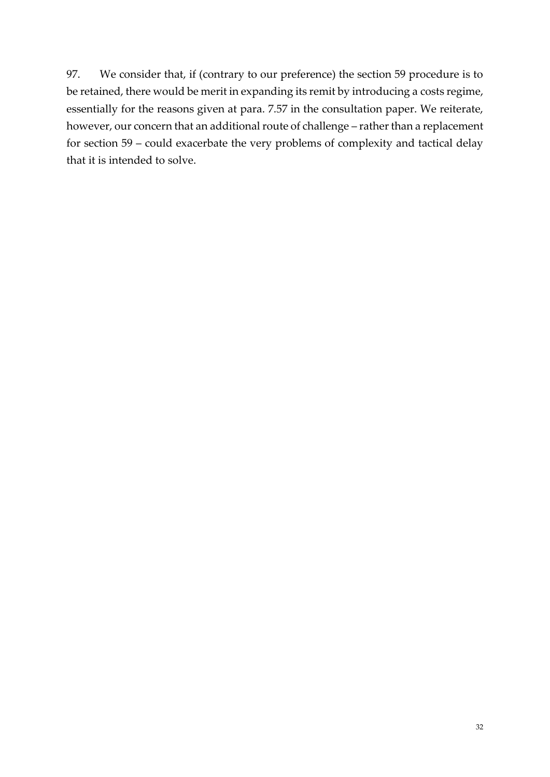97. We consider that, if (contrary to our preference) the section 59 procedure is to be retained, there would be merit in expanding its remit by introducing a costs regime, essentially for the reasons given at para. 7.57 in the consultation paper. We reiterate, however, our concern that an additional route of challenge – rather than a replacement for section 59 – could exacerbate the very problems of complexity and tactical delay that it is intended to solve.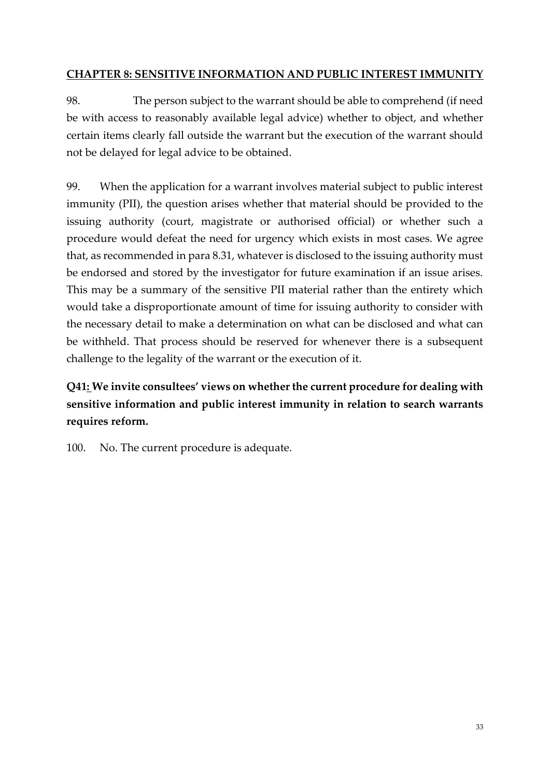### **CHAPTER 8: SENSITIVE INFORMATION AND PUBLIC INTEREST IMMUNITY**

98. The person subject to the warrant should be able to comprehend (if need be with access to reasonably available legal advice) whether to object, and whether certain items clearly fall outside the warrant but the execution of the warrant should not be delayed for legal advice to be obtained.

99. When the application for a warrant involves material subject to public interest immunity (PII), the question arises whether that material should be provided to the issuing authority (court, magistrate or authorised official) or whether such a procedure would defeat the need for urgency which exists in most cases. We agree that, as recommended in para 8.31, whatever is disclosed to the issuing authority must be endorsed and stored by the investigator for future examination if an issue arises. This may be a summary of the sensitive PII material rather than the entirety which would take a disproportionate amount of time for issuing authority to consider with the necessary detail to make a determination on what can be disclosed and what can be withheld. That process should be reserved for whenever there is a subsequent challenge to the legality of the warrant or the execution of it.

# **Q41: We invite consultees' views on whether the current procedure for dealing with sensitive information and public interest immunity in relation to search warrants requires reform.**

100. No. The current procedure is adequate.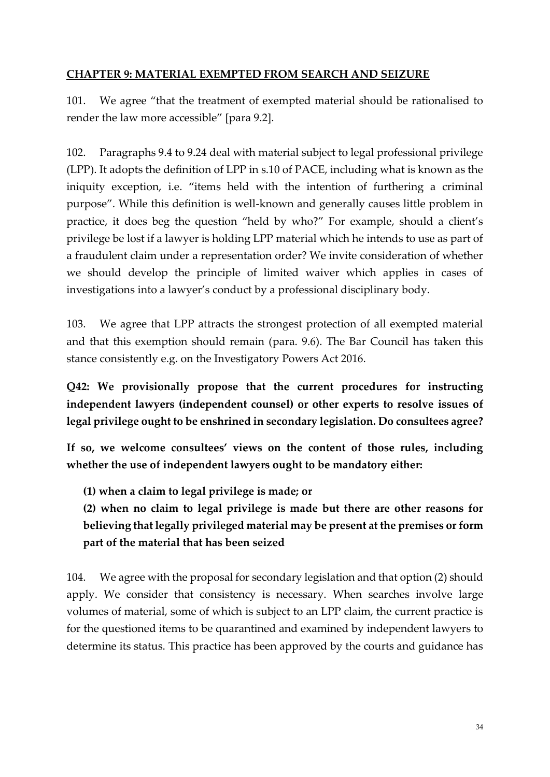#### **CHAPTER 9: MATERIAL EXEMPTED FROM SEARCH AND SEIZURE**

101. We agree "that the treatment of exempted material should be rationalised to render the law more accessible" [para 9.2].

102. Paragraphs 9.4 to 9.24 deal with material subject to legal professional privilege (LPP). It adopts the definition of LPP in s.10 of PACE, including what is known as the iniquity exception, i.e. "items held with the intention of furthering a criminal purpose". While this definition is well-known and generally causes little problem in practice, it does beg the question "held by who?" For example, should a client's privilege be lost if a lawyer is holding LPP material which he intends to use as part of a fraudulent claim under a representation order? We invite consideration of whether we should develop the principle of limited waiver which applies in cases of investigations into a lawyer's conduct by a professional disciplinary body.

103. We agree that LPP attracts the strongest protection of all exempted material and that this exemption should remain (para. 9.6). The Bar Council has taken this stance consistently e.g. on the Investigatory Powers Act 2016.

**Q42: We provisionally propose that the current procedures for instructing independent lawyers (independent counsel) or other experts to resolve issues of legal privilege ought to be enshrined in secondary legislation. Do consultees agree?**

**If so, we welcome consultees' views on the content of those rules, including whether the use of independent lawyers ought to be mandatory either:**

**(1) when a claim to legal privilege is made; or**

**(2) when no claim to legal privilege is made but there are other reasons for believing that legally privileged material may be present at the premises or form part of the material that has been seized**

104. We agree with the proposal for secondary legislation and that option (2) should apply. We consider that consistency is necessary. When searches involve large volumes of material, some of which is subject to an LPP claim, the current practice is for the questioned items to be quarantined and examined by independent lawyers to determine its status. This practice has been approved by the courts and guidance has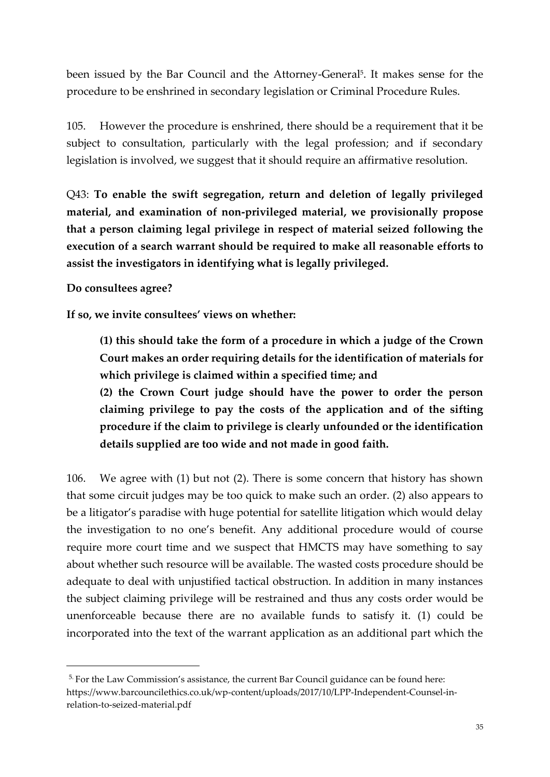been issued by the Bar Council and the Attorney-General<sup>5</sup>. It makes sense for the procedure to be enshrined in secondary legislation or Criminal Procedure Rules.

105. However the procedure is enshrined, there should be a requirement that it be subject to consultation, particularly with the legal profession; and if secondary legislation is involved, we suggest that it should require an affirmative resolution.

Q43: **To enable the swift segregation, return and deletion of legally privileged material, and examination of non-privileged material, we provisionally propose that a person claiming legal privilege in respect of material seized following the execution of a search warrant should be required to make all reasonable efforts to assist the investigators in identifying what is legally privileged.**

#### **Do consultees agree?**

 $\overline{\phantom{a}}$ 

**If so, we invite consultees' views on whether:**

**(1) this should take the form of a procedure in which a judge of the Crown Court makes an order requiring details for the identification of materials for which privilege is claimed within a specified time; and**

**(2) the Crown Court judge should have the power to order the person claiming privilege to pay the costs of the application and of the sifting procedure if the claim to privilege is clearly unfounded or the identification details supplied are too wide and not made in good faith.**

106. We agree with (1) but not (2). There is some concern that history has shown that some circuit judges may be too quick to make such an order. (2) also appears to be a litigator's paradise with huge potential for satellite litigation which would delay the investigation to no one's benefit. Any additional procedure would of course require more court time and we suspect that HMCTS may have something to say about whether such resource will be available. The wasted costs procedure should be adequate to deal with unjustified tactical obstruction. In addition in many instances the subject claiming privilege will be restrained and thus any costs order would be unenforceable because there are no available funds to satisfy it. (1) could be incorporated into the text of the warrant application as an additional part which the

<sup>&</sup>lt;sup>5.</sup> For the Law Commission's assistance, the current Bar Council guidance can be found here: https://www.barcouncilethics.co.uk/wp-content/uploads/2017/10/LPP-Independent-Counsel-inrelation-to-seized-material.pdf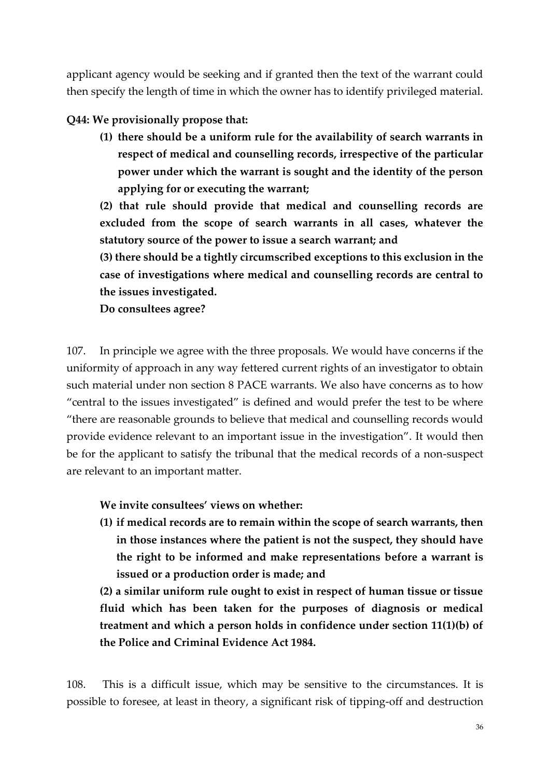applicant agency would be seeking and if granted then the text of the warrant could then specify the length of time in which the owner has to identify privileged material.

#### **Q44: We provisionally propose that:**

**(1) there should be a uniform rule for the availability of search warrants in respect of medical and counselling records, irrespective of the particular power under which the warrant is sought and the identity of the person applying for or executing the warrant;**

**(2) that rule should provide that medical and counselling records are excluded from the scope of search warrants in all cases, whatever the statutory source of the power to issue a search warrant; and**

**(3) there should be a tightly circumscribed exceptions to this exclusion in the case of investigations where medical and counselling records are central to the issues investigated.**

**Do consultees agree?**

107. In principle we agree with the three proposals. We would have concerns if the uniformity of approach in any way fettered current rights of an investigator to obtain such material under non section 8 PACE warrants. We also have concerns as to how "central to the issues investigated" is defined and would prefer the test to be where "there are reasonable grounds to believe that medical and counselling records would provide evidence relevant to an important issue in the investigation". It would then be for the applicant to satisfy the tribunal that the medical records of a non-suspect are relevant to an important matter.

**We invite consultees' views on whether:**

**(1) if medical records are to remain within the scope of search warrants, then in those instances where the patient is not the suspect, they should have the right to be informed and make representations before a warrant is issued or a production order is made; and**

**(2) a similar uniform rule ought to exist in respect of human tissue or tissue fluid which has been taken for the purposes of diagnosis or medical treatment and which a person holds in confidence under section 11(1)(b) of the Police and Criminal Evidence Act 1984.**

108. This is a difficult issue, which may be sensitive to the circumstances. It is possible to foresee, at least in theory, a significant risk of tipping-off and destruction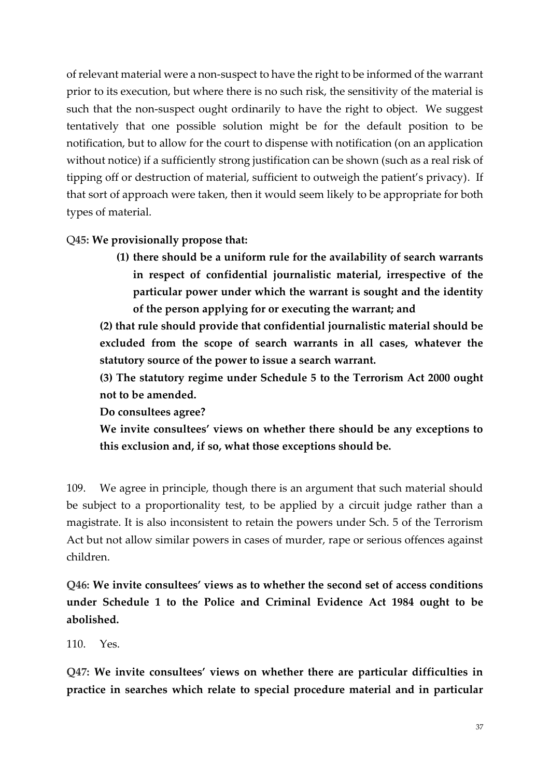of relevant material were a non-suspect to have the right to be informed of the warrant prior to its execution, but where there is no such risk, the sensitivity of the material is such that the non-suspect ought ordinarily to have the right to object. We suggest tentatively that one possible solution might be for the default position to be notification, but to allow for the court to dispense with notification (on an application without notice) if a sufficiently strong justification can be shown (such as a real risk of tipping off or destruction of material, sufficient to outweigh the patient's privacy). If that sort of approach were taken, then it would seem likely to be appropriate for both types of material.

### Q**45: We provisionally propose that:**

**(1) there should be a uniform rule for the availability of search warrants in respect of confidential journalistic material, irrespective of the particular power under which the warrant is sought and the identity of the person applying for or executing the warrant; and**

**(2) that rule should provide that confidential journalistic material should be excluded from the scope of search warrants in all cases, whatever the statutory source of the power to issue a search warrant.**

**(3) The statutory regime under Schedule 5 to the Terrorism Act 2000 ought not to be amended.**

**Do consultees agree?**

**We invite consultees' views on whether there should be any exceptions to this exclusion and, if so, what those exceptions should be.**

109. We agree in principle, though there is an argument that such material should be subject to a proportionality test, to be applied by a circuit judge rather than a magistrate. It is also inconsistent to retain the powers under Sch. 5 of the Terrorism Act but not allow similar powers in cases of murder, rape or serious offences against children.

**Q46: We invite consultees' views as to whether the second set of access conditions under Schedule 1 to the Police and Criminal Evidence Act 1984 ought to be abolished.**

110. Yes.

**Q47: We invite consultees' views on whether there are particular difficulties in practice in searches which relate to special procedure material and in particular**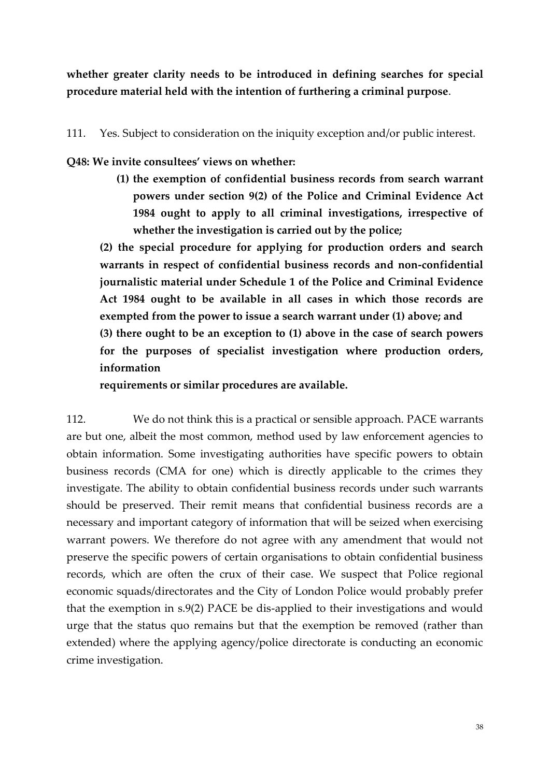**whether greater clarity needs to be introduced in defining searches for special procedure material held with the intention of furthering a criminal purpose**.

111. Yes. Subject to consideration on the iniquity exception and/or public interest.

**Q48: We invite consultees' views on whether:**

**(1) the exemption of confidential business records from search warrant powers under section 9(2) of the Police and Criminal Evidence Act 1984 ought to apply to all criminal investigations, irrespective of whether the investigation is carried out by the police;**

**(2) the special procedure for applying for production orders and search warrants in respect of confidential business records and non-confidential journalistic material under Schedule 1 of the Police and Criminal Evidence Act 1984 ought to be available in all cases in which those records are exempted from the power to issue a search warrant under (1) above; and (3) there ought to be an exception to (1) above in the case of search powers for the purposes of specialist investigation where production orders, information**

**requirements or similar procedures are available.**

112. We do not think this is a practical or sensible approach. PACE warrants are but one, albeit the most common, method used by law enforcement agencies to obtain information. Some investigating authorities have specific powers to obtain business records (CMA for one) which is directly applicable to the crimes they investigate. The ability to obtain confidential business records under such warrants should be preserved. Their remit means that confidential business records are a necessary and important category of information that will be seized when exercising warrant powers. We therefore do not agree with any amendment that would not preserve the specific powers of certain organisations to obtain confidential business records, which are often the crux of their case. We suspect that Police regional economic squads/directorates and the City of London Police would probably prefer that the exemption in s.9(2) PACE be dis-applied to their investigations and would urge that the status quo remains but that the exemption be removed (rather than extended) where the applying agency/police directorate is conducting an economic crime investigation.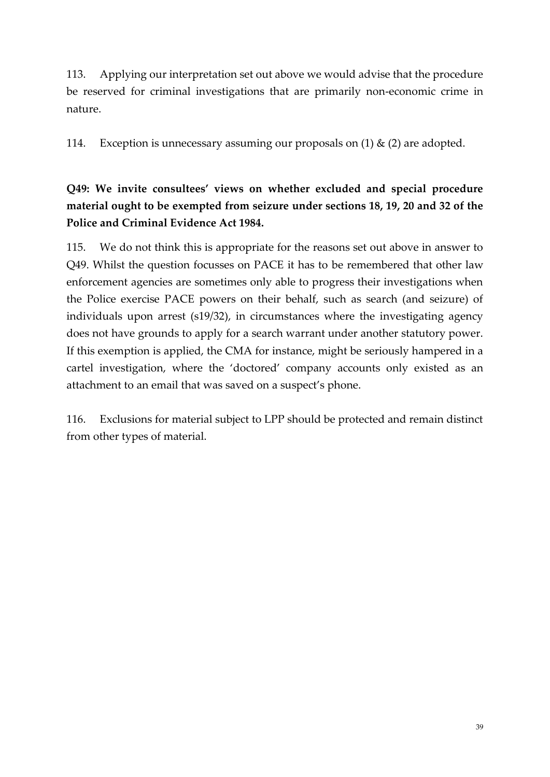113. Applying our interpretation set out above we would advise that the procedure be reserved for criminal investigations that are primarily non-economic crime in nature.

114. Exception is unnecessary assuming our proposals on  $(1)$  &  $(2)$  are adopted.

**Q49: We invite consultees' views on whether excluded and special procedure material ought to be exempted from seizure under sections 18, 19, 20 and 32 of the Police and Criminal Evidence Act 1984.**

115. We do not think this is appropriate for the reasons set out above in answer to Q49. Whilst the question focusses on PACE it has to be remembered that other law enforcement agencies are sometimes only able to progress their investigations when the Police exercise PACE powers on their behalf, such as search (and seizure) of individuals upon arrest (s19/32), in circumstances where the investigating agency does not have grounds to apply for a search warrant under another statutory power. If this exemption is applied, the CMA for instance, might be seriously hampered in a cartel investigation, where the 'doctored' company accounts only existed as an attachment to an email that was saved on a suspect's phone.

116. Exclusions for material subject to LPP should be protected and remain distinct from other types of material.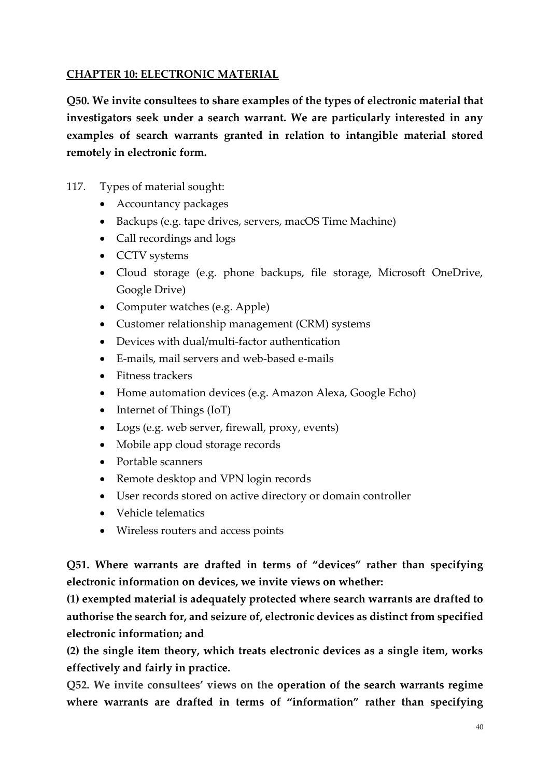### **CHAPTER 10: ELECTRONIC MATERIAL**

**Q50. We invite consultees to share examples of the types of electronic material that investigators seek under a search warrant. We are particularly interested in any examples of search warrants granted in relation to intangible material stored remotely in electronic form.**

- 117. Types of material sought:
	- Accountancy packages
	- Backups (e.g. tape drives, servers, macOS Time Machine)
	- Call recordings and logs
	- CCTV systems
	- Cloud storage (e.g. phone backups, file storage, Microsoft OneDrive, Google Drive)
	- Computer watches (e.g. Apple)
	- Customer relationship management (CRM) systems
	- Devices with dual/multi-factor authentication
	- E-mails, mail servers and web-based e-mails
	- Fitness trackers
	- Home automation devices (e.g. Amazon Alexa, Google Echo)
	- Internet of Things (IoT)
	- Logs (e.g. web server, firewall, proxy, events)
	- Mobile app cloud storage records
	- Portable scanners
	- Remote desktop and VPN login records
	- User records stored on active directory or domain controller
	- Vehicle telematics
	- Wireless routers and access points

**Q51. Where warrants are drafted in terms of "devices" rather than specifying electronic information on devices, we invite views on whether:**

**(1) exempted material is adequately protected where search warrants are drafted to authorise the search for, and seizure of, electronic devices as distinct from specified electronic information; and**

**(2) the single item theory, which treats electronic devices as a single item, works effectively and fairly in practice.** 

**Q52. We invite consultees' views on the operation of the search warrants regime where warrants are drafted in terms of "information" rather than specifying**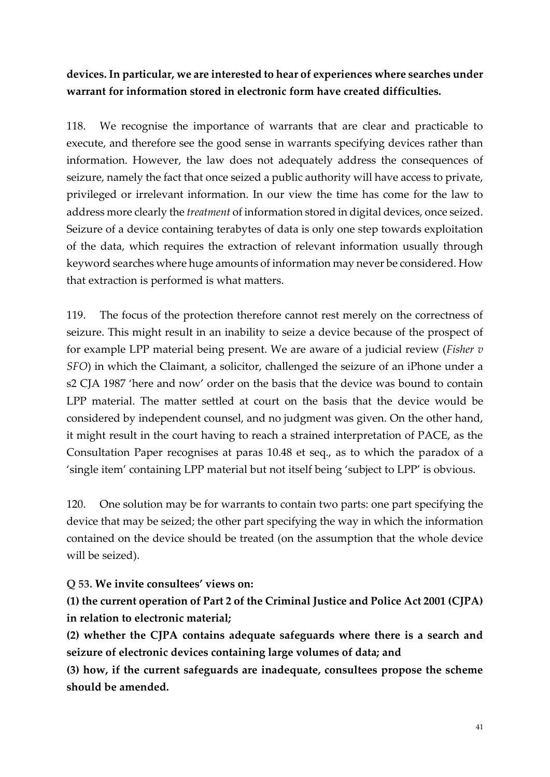## **devices. In particular, we are interested to hear of experiences where searches under warrant for information stored in electronic form have created difficulties.**

118. We recognise the importance of warrants that are clear and practicable to execute, and therefore see the good sense in warrants specifying devices rather than information. However, the law does not adequately address the consequences of seizure, namely the fact that once seized a public authority will have access to private, privileged or irrelevant information. In our view the time has come for the law to address more clearly the *treatment* of information stored in digital devices, once seized. Seizure of a device containing terabytes of data is only one step towards exploitation of the data, which requires the extraction of relevant information usually through keyword searches where huge amounts of information may never be considered. How that extraction is performed is what matters.

119. The focus of the protection therefore cannot rest merely on the correctness of seizure. This might result in an inability to seize a device because of the prospect of for example LPP material being present. We are aware of a judicial review (*Fisher v SFO*) in which the Claimant, a solicitor, challenged the seizure of an iPhone under a s2 CJA 1987 'here and now' order on the basis that the device was bound to contain LPP material. The matter settled at court on the basis that the device would be considered by independent counsel, and no judgment was given. On the other hand, it might result in the court having to reach a strained interpretation of PACE, as the Consultation Paper recognises at paras 10.48 et seq., as to which the paradox of a 'single item' containing LPP material but not itself being 'subject to LPP' is obvious.

120. One solution may be for warrants to contain two parts: one part specifying the device that may be seized; the other part specifying the way in which the information contained on the device should be treated (on the assumption that the whole device will be seized).

#### **Q 53. We invite consultees' views on:**

**(1) the current operation of Part 2 of the Criminal Justice and Police Act 2001 (CJPA) in relation to electronic material;**

**(2) whether the CJPA contains adequate safeguards where there is a search and seizure of electronic devices containing large volumes of data; and**

**(3) how, if the current safeguards are inadequate, consultees propose the scheme should be amended.**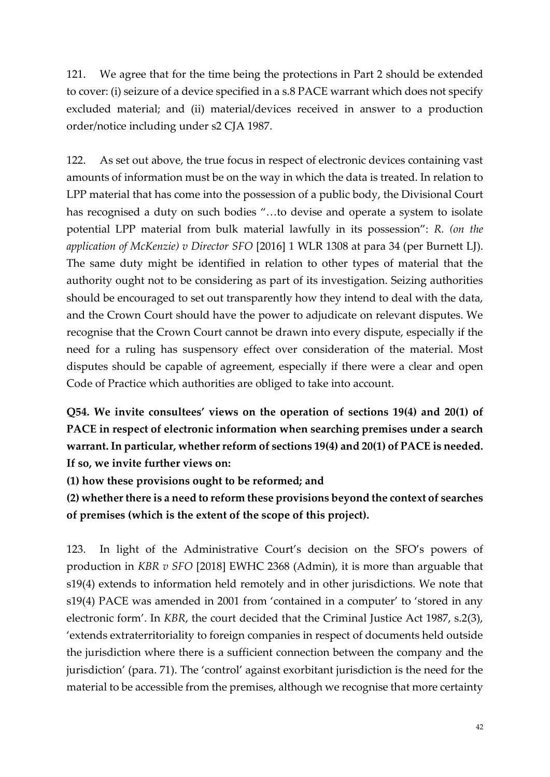121. We agree that for the time being the protections in Part 2 should be extended to cover: (i) seizure of a device specified in a s.8 PACE warrant which does not specify excluded material; and (ii) material/devices received in answer to a production order/notice including under s2 CJA 1987.

122. As set out above, the true focus in respect of electronic devices containing vast amounts of information must be on the way in which the data is treated. In relation to LPP material that has come into the possession of a public body, the Divisional Court has recognised a duty on such bodies "…to devise and operate a system to isolate potential LPP material from bulk material lawfully in its possession": *R. (on the application of McKenzie) v Director SFO* [2016] 1 WLR 1308 at para 34 (per Burnett LJ). The same duty might be identified in relation to other types of material that the authority ought not to be considering as part of its investigation. Seizing authorities should be encouraged to set out transparently how they intend to deal with the data, and the Crown Court should have the power to adjudicate on relevant disputes. We recognise that the Crown Court cannot be drawn into every dispute, especially if the need for a ruling has suspensory effect over consideration of the material. Most disputes should be capable of agreement, especially if there were a clear and open Code of Practice which authorities are obliged to take into account.

**Q54. We invite consultees' views on the operation of sections 19(4) and 20(1) of PACE in respect of electronic information when searching premises under a search warrant. In particular, whether reform of sections 19(4) and 20(1) of PACE is needed. If so, we invite further views on:**

**(1) how these provisions ought to be reformed; and**

**(2) whether there is a need to reform these provisions beyond the context of searches of premises (which is the extent of the scope of this project).**

123. In light of the Administrative Court's decision on the SFO's powers of production in *KBR v SFO* [2018] EWHC 2368 (Admin), it is more than arguable that s19(4) extends to information held remotely and in other jurisdictions. We note that s19(4) PACE was amended in 2001 from 'contained in a computer' to 'stored in any electronic form'. In *KBR*, the court decided that the Criminal Justice Act 1987, s.2(3), 'extends extraterritoriality to foreign companies in respect of documents held outside the jurisdiction where there is a sufficient connection between the company and the jurisdiction' (para. 71). The 'control' against exorbitant jurisdiction is the need for the material to be accessible from the premises, although we recognise that more certainty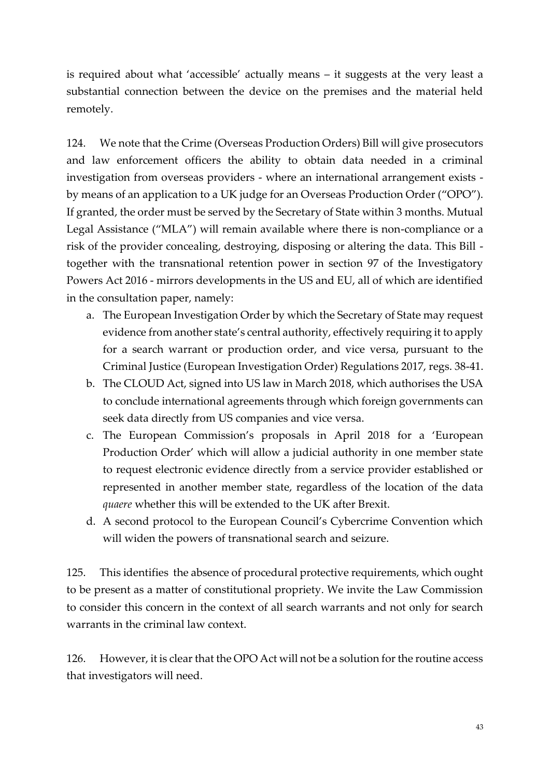is required about what 'accessible' actually means – it suggests at the very least a substantial connection between the device on the premises and the material held remotely.

124. We note that the Crime (Overseas Production Orders) Bill will give prosecutors and law enforcement officers the ability to obtain data needed in a criminal investigation from overseas providers - where an international arrangement exists by means of an application to a UK judge for an Overseas Production Order ("OPO"). If granted, the order must be served by the Secretary of State within 3 months. Mutual Legal Assistance ("MLA") will remain available where there is non-compliance or a risk of the provider concealing, destroying, disposing or altering the data. This Bill together with the transnational retention power in section 97 of the Investigatory Powers Act 2016 - mirrors developments in the US and EU, all of which are identified in the consultation paper, namely:

- a. The European Investigation Order by which the Secretary of State may request evidence from another state's central authority, effectively requiring it to apply for a search warrant or production order, and vice versa, pursuant to the Criminal Justice (European Investigation Order) Regulations 2017, regs. 38-41.
- b. The CLOUD Act, signed into US law in March 2018, which authorises the USA to conclude international agreements through which foreign governments can seek data directly from US companies and vice versa.
- c. The European Commission's proposals in April 2018 for a 'European Production Order' which will allow a judicial authority in one member state to request electronic evidence directly from a service provider established or represented in another member state, regardless of the location of the data *quaere* whether this will be extended to the UK after Brexit.
- d. A second protocol to the European Council's Cybercrime Convention which will widen the powers of transnational search and seizure.

125. This identifies the absence of procedural protective requirements, which ought to be present as a matter of constitutional propriety. We invite the Law Commission to consider this concern in the context of all search warrants and not only for search warrants in the criminal law context.

126. However, it is clear that the OPO Act will not be a solution for the routine access that investigators will need.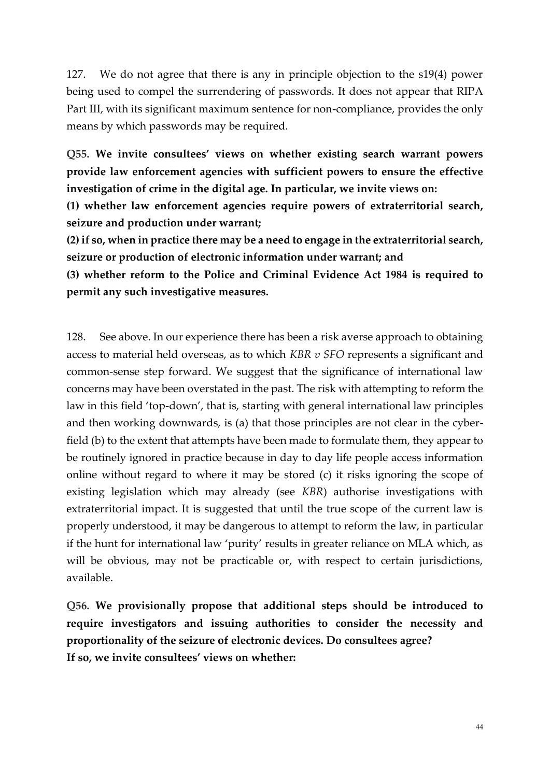127. We do not agree that there is any in principle objection to the s19(4) power being used to compel the surrendering of passwords. It does not appear that RIPA Part III, with its significant maximum sentence for non-compliance, provides the only means by which passwords may be required.

**Q55. We invite consultees' views on whether existing search warrant powers provide law enforcement agencies with sufficient powers to ensure the effective investigation of crime in the digital age. In particular, we invite views on:**

**(1) whether law enforcement agencies require powers of extraterritorial search, seizure and production under warrant;**

**(2) if so, when in practice there may be a need to engage in the extraterritorial search, seizure or production of electronic information under warrant; and**

**(3) whether reform to the Police and Criminal Evidence Act 1984 is required to permit any such investigative measures.**

128. See above. In our experience there has been a risk averse approach to obtaining access to material held overseas, as to which *KBR v SFO* represents a significant and common-sense step forward. We suggest that the significance of international law concerns may have been overstated in the past. The risk with attempting to reform the law in this field 'top-down', that is, starting with general international law principles and then working downwards, is (a) that those principles are not clear in the cyberfield (b) to the extent that attempts have been made to formulate them, they appear to be routinely ignored in practice because in day to day life people access information online without regard to where it may be stored (c) it risks ignoring the scope of existing legislation which may already (see *KBR*) authorise investigations with extraterritorial impact. It is suggested that until the true scope of the current law is properly understood, it may be dangerous to attempt to reform the law, in particular if the hunt for international law 'purity' results in greater reliance on MLA which, as will be obvious, may not be practicable or, with respect to certain jurisdictions, available.

**Q56. We provisionally propose that additional steps should be introduced to require investigators and issuing authorities to consider the necessity and proportionality of the seizure of electronic devices. Do consultees agree? If so, we invite consultees' views on whether:**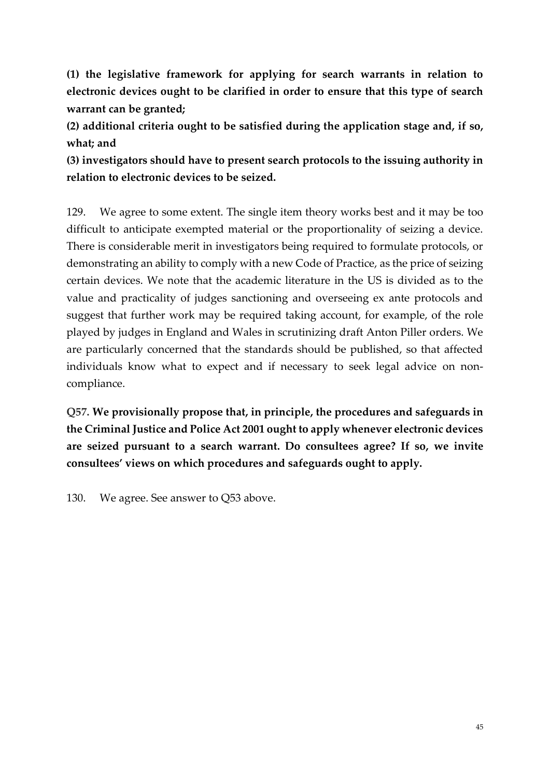**(1) the legislative framework for applying for search warrants in relation to electronic devices ought to be clarified in order to ensure that this type of search warrant can be granted;**

**(2) additional criteria ought to be satisfied during the application stage and, if so, what; and**

**(3) investigators should have to present search protocols to the issuing authority in relation to electronic devices to be seized.**

129. We agree to some extent. The single item theory works best and it may be too difficult to anticipate exempted material or the proportionality of seizing a device. There is considerable merit in investigators being required to formulate protocols, or demonstrating an ability to comply with a new Code of Practice, as the price of seizing certain devices. We note that the academic literature in the US is divided as to the value and practicality of judges sanctioning and overseeing ex ante protocols and suggest that further work may be required taking account, for example, of the role played by judges in England and Wales in scrutinizing draft Anton Piller orders. We are particularly concerned that the standards should be published, so that affected individuals know what to expect and if necessary to seek legal advice on noncompliance.

**Q57. We provisionally propose that, in principle, the procedures and safeguards in the Criminal Justice and Police Act 2001 ought to apply whenever electronic devices are seized pursuant to a search warrant. Do consultees agree? If so, we invite consultees' views on which procedures and safeguards ought to apply.**

130. We agree. See answer to Q53 above.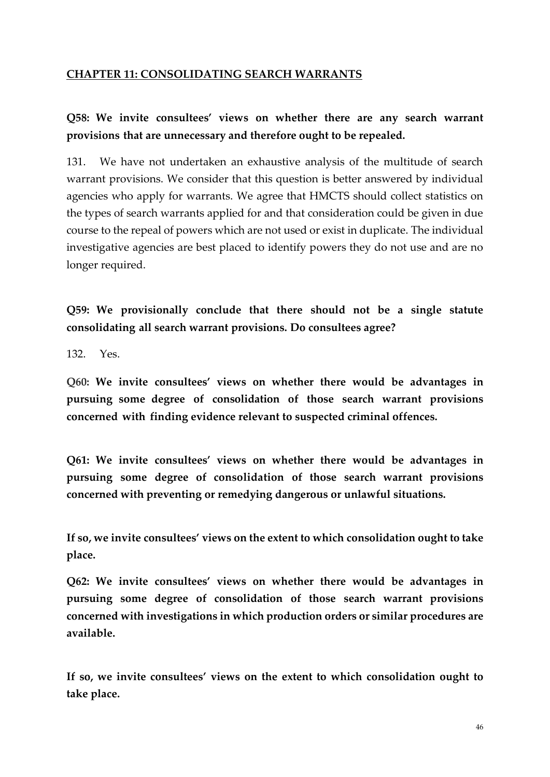#### **CHAPTER 11: CONSOLIDATING SEARCH WARRANTS**

## **Q58: We invite consultees' views on whether there are any search warrant provisions that are unnecessary and therefore ought to be repealed.**

131. We have not undertaken an exhaustive analysis of the multitude of search warrant provisions. We consider that this question is better answered by individual agencies who apply for warrants. We agree that HMCTS should collect statistics on the types of search warrants applied for and that consideration could be given in due course to the repeal of powers which are not used or exist in duplicate. The individual investigative agencies are best placed to identify powers they do not use and are no longer required.

**Q59: We provisionally conclude that there should not be a single statute consolidating all search warrant provisions. Do consultees agree?**

132. Yes.

**Q60: We invite consultees' views on whether there would be advantages in pursuing some degree of consolidation of those search warrant provisions concerned with finding evidence relevant to suspected criminal offences.**

**Q61: We invite consultees' views on whether there would be advantages in pursuing some degree of consolidation of those search warrant provisions concerned with preventing or remedying dangerous or unlawful situations.**

**If so, we invite consultees' views on the extent to which consolidation ought to take place.**

**Q62: We invite consultees' views on whether there would be advantages in pursuing some degree of consolidation of those search warrant provisions concerned with investigations in which production orders or similar procedures are available.**

**If so, we invite consultees' views on the extent to which consolidation ought to take place.**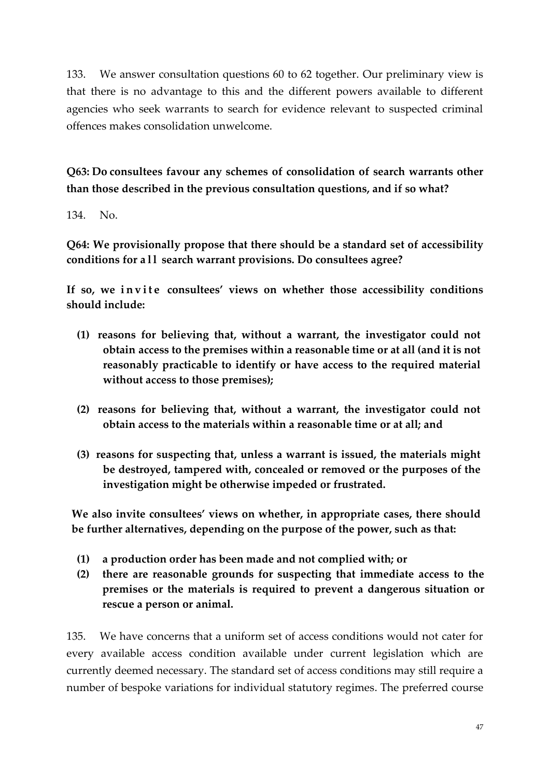133. We answer consultation questions 60 to 62 together. Our preliminary view is that there is no advantage to this and the different powers available to different agencies who seek warrants to search for evidence relevant to suspected criminal offences makes consolidation unwelcome.

**Q63: Do consultees favour any schemes of consolidation of search warrants other than those described in the previous consultation questions, and if so what?** 

134. No.

**Q64: We provisionally propose that there should be a standard set of accessibility conditions for a l l search warrant provisions. Do consultees agree?**

**If so, we i n v i t e consultees' views on whether those accessibility conditions should include:**

- **(1) reasons for believing that, without a warrant, the investigator could not obtain access to the premises within a reasonable time or at all (and it is not reasonably practicable to identify or have access to the required material without access to those premises);**
- **(2) reasons for believing that, without a warrant, the investigator could not obtain access to the materials within a reasonable time or at all; and**
- **(3) reasons for suspecting that, unless a warrant is issued, the materials might be destroyed, tampered with, concealed or removed or the purposes of the investigation might be otherwise impeded or frustrated.**

**We also invite consultees' views on whether, in appropriate cases, there should be further alternatives, depending on the purpose of the power, such as that:**

- **(1) a production order has been made and not complied with; or**
- **(2) there are reasonable grounds for suspecting that immediate access to the premises or the materials is required to prevent a dangerous situation or rescue a person or animal.**

135. We have concerns that a uniform set of access conditions would not cater for every available access condition available under current legislation which are currently deemed necessary. The standard set of access conditions may still require a number of bespoke variations for individual statutory regimes. The preferred course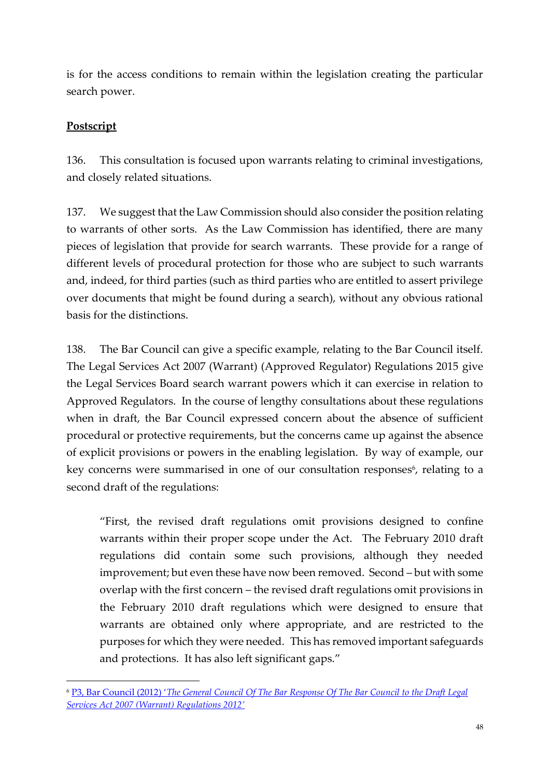is for the access conditions to remain within the legislation creating the particular search power.

### **Postscript**

**.** 

136. This consultation is focused upon warrants relating to criminal investigations, and closely related situations.

137. We suggest that the Law Commission should also consider the position relating to warrants of other sorts. As the Law Commission has identified, there are many pieces of legislation that provide for search warrants. These provide for a range of different levels of procedural protection for those who are subject to such warrants and, indeed, for third parties (such as third parties who are entitled to assert privilege over documents that might be found during a search), without any obvious rational basis for the distinctions.

138. The Bar Council can give a specific example, relating to the Bar Council itself. The Legal Services Act 2007 (Warrant) (Approved Regulator) Regulations 2015 give the Legal Services Board search warrant powers which it can exercise in relation to Approved Regulators. In the course of lengthy consultations about these regulations when in draft, the Bar Council expressed concern about the absence of sufficient procedural or protective requirements, but the concerns came up against the absence of explicit provisions or powers in the enabling legislation. By way of example, our key concerns were summarised in one of our consultation responses 6 , relating to a second draft of the regulations:

"First, the revised draft regulations omit provisions designed to confine warrants within their proper scope under the Act. The February 2010 draft regulations did contain some such provisions, although they needed improvement; but even these have now been removed. Second – but with some overlap with the first concern – the revised draft regulations omit provisions in the February 2010 draft regulations which were designed to ensure that warrants are obtained only where appropriate, and are restricted to the purposes for which they were needed. This has removed important safeguards and protections. It has also left significant gaps."

<sup>6</sup> P3, Bar Council (2012) '*[The General Council Of The Bar Response Of The Bar Council to the Draft Legal](https://www.barcouncil.org.uk/media/161819/bar_council_response_to_lsa_warranrt_regulations_consultation_august_2012_final.pdf)  [Services Act 2007 \(Warrant\) Regulations 2012'](https://www.barcouncil.org.uk/media/161819/bar_council_response_to_lsa_warranrt_regulations_consultation_august_2012_final.pdf)*